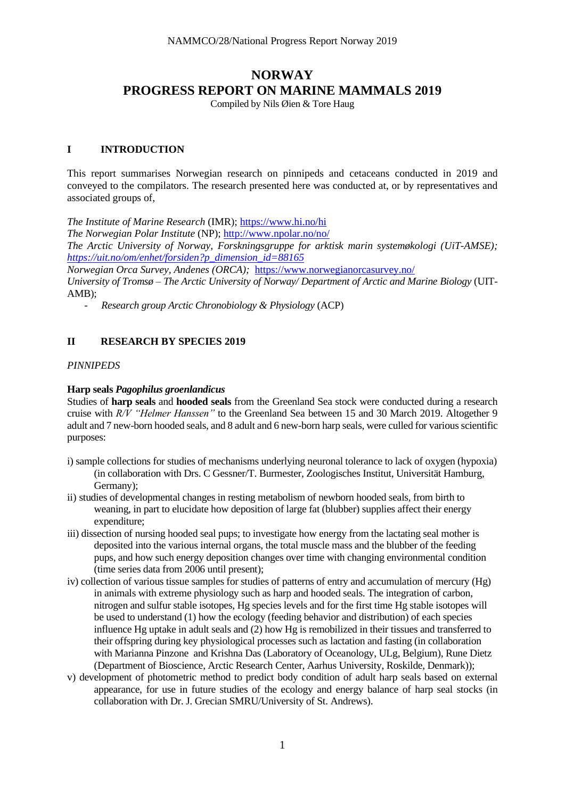# **NORWAY PROGRESS REPORT ON MARINE MAMMALS 2019**

Compiled by Nils Øien & Tore Haug

## **I INTRODUCTION**

This report summarises Norwegian research on pinnipeds and cetaceans conducted in 2019 and conveyed to the compilators. The research presented here was conducted at, or by representatives and associated groups of,

*The Institute of Marine Research* (IMR); <https://www.hi.no/hi>

*The Norwegian Polar Institute* (NP); <http://www.npolar.no/no/>

*The Arctic University of Norway, Forskningsgruppe for arktisk marin systemøkologi (UiT-AMSE); [https://uit.no/om/enhet/forsiden?p\\_dimension\\_id=88165](https://uit.no/om/enhet/forsiden?p_dimension_id=88165)*

*Norwegian Orca Survey, Andenes (ORCA);* <https://www.norwegianorcasurvey.no/>

*University of Tromsø – The Arctic University of Norway/ Department of Arctic and Marine Biology* (UIT-AMB);

*- Research group Arctic Chronobiology & Physiology* (ACP)

# **II RESEARCH BY SPECIES 2019**

### *PINNIPEDS*

### **Harp seals** *Pagophilus groenlandicus*

Studies of **harp seals** and **hooded seals** from the Greenland Sea stock were conducted during a research cruise with *R/V "Helmer Hanssen"* to the Greenland Sea between 15 and 30 March 2019. Altogether 9 adult and 7 new-born hooded seals, and 8 adult and 6 new-born harp seals, were culled for various scientific purposes:

- i) sample collections for studies of mechanisms underlying neuronal tolerance to lack of oxygen (hypoxia) (in collaboration with Drs. C Gessner/T. Burmester, Zoologisches Institut, Universität Hamburg, Germany);
- ii) studies of developmental changes in resting metabolism of newborn hooded seals, from birth to weaning, in part to elucidate how deposition of large fat (blubber) supplies affect their energy expenditure;
- iii) dissection of nursing hooded seal pups; to investigate how energy from the lactating seal mother is deposited into the various internal organs, the total muscle mass and the blubber of the feeding pups, and how such energy deposition changes over time with changing environmental condition (time series data from 2006 until present);
- iv) collection of various tissue samples for studies of patterns of entry and accumulation of mercury (Hg) in animals with extreme physiology such as harp and hooded seals. The integration of carbon, nitrogen and sulfur stable isotopes, Hg species levels and for the first time Hg stable isotopes will be used to understand (1) how the ecology (feeding behavior and distribution) of each species influence Hg uptake in adult seals and (2) how Hg is remobilized in their tissues and transferred to their offspring during key physiological processes such as lactation and fasting (in collaboration with Marianna Pinzone and Krishna Das (Laboratory of Oceanology, ULg, Belgium), Rune Dietz (Department of Bioscience, Arctic Research Center, Aarhus University, Roskilde, Denmark));
- v) development of photometric method to predict body condition of adult harp seals based on external appearance, for use in future studies of the ecology and energy balance of harp seal stocks (in collaboration with Dr. J. Grecian SMRU/University of St. Andrews).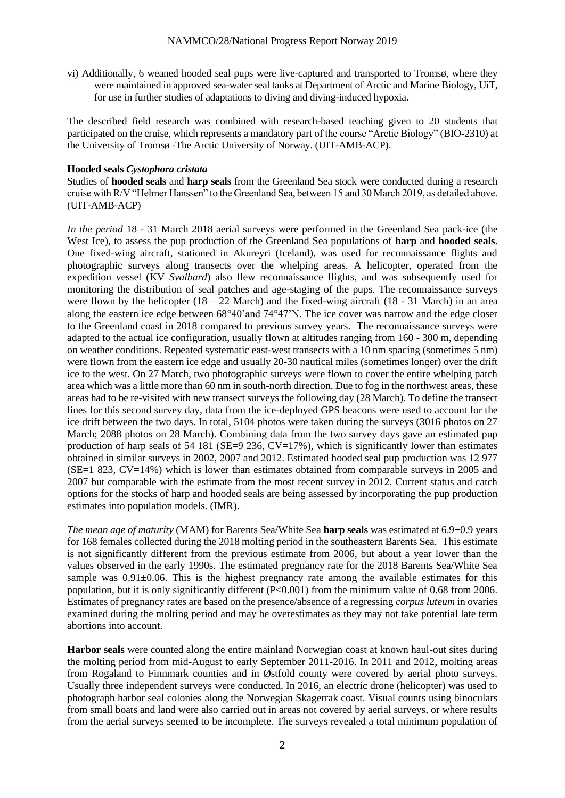vi) Additionally, 6 weaned hooded seal pups were live-captured and transported to Tromsø, where they were maintained in approved sea-water seal tanks at Department of Arctic and Marine Biology, UiT, for use in further studies of adaptations to diving and diving-induced hypoxia.

The described field research was combined with research-based teaching given to 20 students that participated on the cruise, which represents a mandatory part of the course "Arctic Biology" (BIO-2310) at the University of Tromsø -The Arctic University of Norway. (UIT-AMB-ACP).

### **Hooded seals** *Cystophora cristata*

Studies of **hooded seals** and **harp seals** from the Greenland Sea stock were conducted during a research cruise with R/V "Helmer Hanssen" to the Greenland Sea, between 15 and 30 March 2019, as detailed above. (UIT-AMB-ACP)

*In the period* 18 - 31 March 2018 aerial surveys were performed in the Greenland Sea pack-ice (the West Ice), to assess the pup production of the Greenland Sea populations of **harp** and **hooded seals**. One fixed-wing aircraft, stationed in Akureyri (Iceland), was used for reconnaissance flights and photographic surveys along transects over the whelping areas. A helicopter, operated from the expedition vessel (KV *Svalbard*) also flew reconnaissance flights, and was subsequently used for monitoring the distribution of seal patches and age-staging of the pups. The reconnaissance surveys were flown by the helicopter  $(18 - 22$  March) and the fixed-wing aircraft  $(18 - 31$  March) in an area along the eastern ice edge between  $68^{\circ}40'$  and  $74^{\circ}47'$ N. The ice cover was narrow and the edge closer to the Greenland coast in 2018 compared to previous survey years. The reconnaissance surveys were adapted to the actual ice configuration, usually flown at altitudes ranging from 160 - 300 m, depending on weather conditions. Repeated systematic east-west transects with a 10 nm spacing (sometimes 5 nm) were flown from the eastern ice edge and usually 20-30 nautical miles (sometimes longer) over the drift ice to the west. On 27 March, two photographic surveys were flown to cover the entire whelping patch area which was a little more than 60 nm in south-north direction. Due to fog in the northwest areas, these areas had to be re-visited with new transect surveys the following day (28 March). To define the transect lines for this second survey day, data from the ice-deployed GPS beacons were used to account for the ice drift between the two days. In total, 5104 photos were taken during the surveys (3016 photos on 27 March; 2088 photos on 28 March). Combining data from the two survey days gave an estimated pup production of harp seals of 54 181 ( $SE=9$  236,  $CV=17\%$ ), which is significantly lower than estimates obtained in similar surveys in 2002, 2007 and 2012. Estimated hooded seal pup production was 12 977 (SE=1 823, CV=14%) which is lower than estimates obtained from comparable surveys in 2005 and 2007 but comparable with the estimate from the most recent survey in 2012. Current status and catch options for the stocks of harp and hooded seals are being assessed by incorporating the pup production estimates into population models. (IMR).

*The mean age of maturity* (MAM) for Barents Sea/White Sea **harp seals** was estimated at 6.9±0.9 years for 168 females collected during the 2018 molting period in the southeastern Barents Sea. This estimate is not significantly different from the previous estimate from 2006, but about a year lower than the values observed in the early 1990s. The estimated pregnancy rate for the 2018 Barents Sea/White Sea sample was  $0.91\pm0.06$ . This is the highest pregnancy rate among the available estimates for this population, but it is only significantly different (P<0.001) from the minimum value of 0.68 from 2006. Estimates of pregnancy rates are based on the presence/absence of a regressing *corpus luteum* in ovaries examined during the molting period and may be overestimates as they may not take potential late term abortions into account.

**Harbor seals** were counted along the entire mainland Norwegian coast at known haul-out sites during the molting period from mid-August to early September 2011-2016. In 2011 and 2012, molting areas from Rogaland to Finnmark counties and in Østfold county were covered by aerial photo surveys. Usually three independent surveys were conducted. In 2016, an electric drone (helicopter) was used to photograph harbor seal colonies along the Norwegian Skagerrak coast. Visual counts using binoculars from small boats and land were also carried out in areas not covered by aerial surveys, or where results from the aerial surveys seemed to be incomplete. The surveys revealed a total minimum population of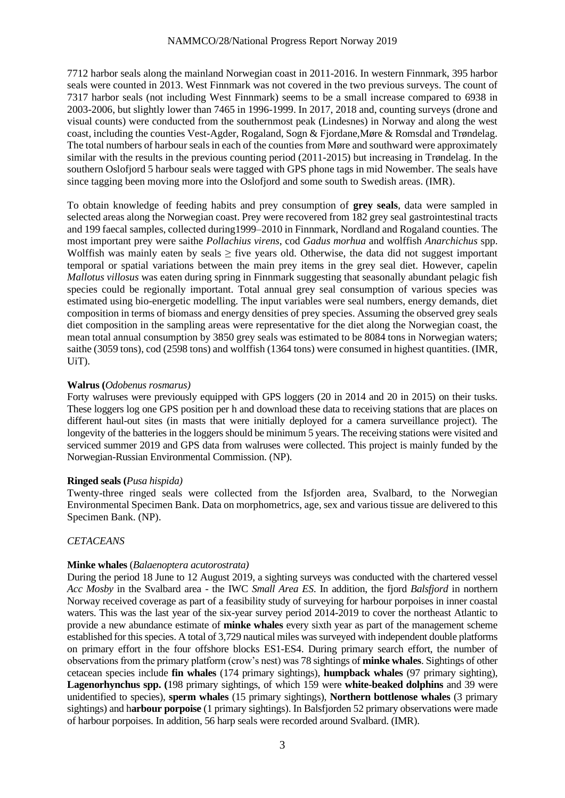7712 harbor seals along the mainland Norwegian coast in 2011-2016. In western Finnmark, 395 harbor seals were counted in 2013. West Finnmark was not covered in the two previous surveys. The count of 7317 harbor seals (not including West Finnmark) seems to be a small increase compared to 6938 in 2003-2006, but slightly lower than 7465 in 1996-1999. In 2017, 2018 and, counting surveys (drone and visual counts) were conducted from the southernmost peak (Lindesnes) in Norway and along the west coast, including the counties Vest-Agder, Rogaland, Sogn & Fjordane,Møre & Romsdal and Trøndelag. The total numbers of harbour seals in each of the counties from Møre and southward were approximately similar with the results in the previous counting period (2011-2015) but increasing in Trøndelag. In the southern Oslofjord 5 harbour seals were tagged with GPS phone tags in mid Nowember. The seals have since tagging been moving more into the Oslofjord and some south to Swedish areas. (IMR).

To obtain knowledge of feeding habits and prey consumption of **grey seals**, data were sampled in selected areas along the Norwegian coast. Prey were recovered from 182 grey seal gastrointestinal tracts and 199 faecal samples, collected during1999–2010 in Finnmark, Nordland and Rogaland counties. The most important prey were saithe *Pollachius virens*, cod *Gadus morhua* and wolffish *Anarchichus* spp. Wolffish was mainly eaten by seals  $\geq$  five years old. Otherwise, the data did not suggest important temporal or spatial variations between the main prey items in the grey seal diet. However, capelin *Mallotus villosus* was eaten during spring in Finnmark suggesting that seasonally abundant pelagic fish species could be regionally important. Total annual grey seal consumption of various species was estimated using bio-energetic modelling. The input variables were seal numbers, energy demands, diet composition in terms of biomass and energy densities of prey species. Assuming the observed grey seals diet composition in the sampling areas were representative for the diet along the Norwegian coast, the mean total annual consumption by 3850 grey seals was estimated to be 8084 tons in Norwegian waters; saithe (3059 tons), cod (2598 tons) and wolffish (1364 tons) were consumed in highest quantities. (IMR, UiT).

#### **Walrus (***Odobenus rosmarus)*

Forty walruses were previously equipped with GPS loggers (20 in 2014 and 20 in 2015) on their tusks. These loggers log one GPS position per h and download these data to receiving stations that are places on different haul-out sites (in masts that were initially deployed for a camera surveillance project). The longevity of the batteries in the loggers should be minimum 5 years. The receiving stations were visited and serviced summer 2019 and GPS data from walruses were collected. This project is mainly funded by the Norwegian-Russian Environmental Commission. (NP).

#### **Ringed seals (***Pusa hispida)*

Twenty-three ringed seals were collected from the Isfjorden area, Svalbard, to the Norwegian Environmental Specimen Bank. Data on morphometrics, age, sex and various tissue are delivered to this Specimen Bank. (NP).

# *CETACEANS*

### **Minke whales** (*Balaenoptera acutorostrata)*

During the period 18 June to 12 August 2019, a sighting surveys was conducted with the chartered vessel *Acc Mosby* in the Svalbard area - the IWC *Small Area ES*. In addition, the fjord *Balsfjord* in northern Norway received coverage as part of a feasibility study of surveying for harbour porpoises in inner coastal waters. This was the last year of the six-year survey period 2014-2019 to cover the northeast Atlantic to provide a new abundance estimate of **minke whales** every sixth year as part of the management scheme established for this species. A total of 3,729 nautical miles was surveyed with independent double platforms on primary effort in the four offshore blocks ES1-ES4. During primary search effort, the number of observations from the primary platform (crow's nest) was 78 sightings of **minke whales**. Sightings of other cetacean species include **fin whales** (174 primary sightings), **humpback whales** (97 primary sighting), **Lagenorhynchus spp. (**198 primary sightings, of which 159 were **white-beaked dolphins** and 39 were unidentified to species), **sperm whales** (15 primary sightings), **Northern bottlenose whales** (3 primary sightings) and h**arbour porpoise** (1 primary sightings). In Balsfjorden 52 primary observations were made of harbour porpoises. In addition, 56 harp seals were recorded around Svalbard. (IMR).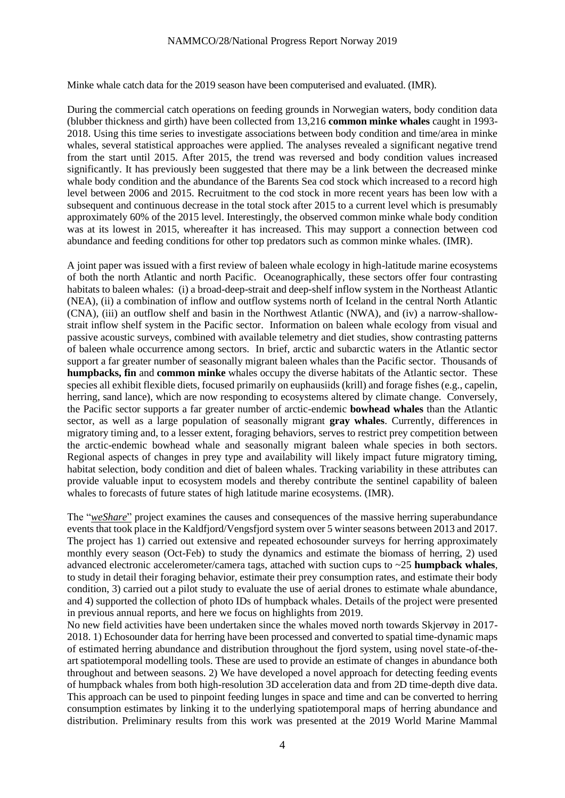Minke whale catch data for the 2019 season have been computerised and evaluated. (IMR).

During the commercial catch operations on feeding grounds in Norwegian waters, body condition data (blubber thickness and girth) have been collected from 13,216 **common minke whales** caught in 1993- 2018. Using this time series to investigate associations between body condition and time/area in minke whales, several statistical approaches were applied. The analyses revealed a significant negative trend from the start until 2015. After 2015, the trend was reversed and body condition values increased significantly. It has previously been suggested that there may be a link between the decreased minke whale body condition and the abundance of the Barents Sea cod stock which increased to a record high level between 2006 and 2015. Recruitment to the cod stock in more recent years has been low with a subsequent and continuous decrease in the total stock after 2015 to a current level which is presumably approximately 60% of the 2015 level. Interestingly, the observed common minke whale body condition was at its lowest in 2015, whereafter it has increased. This may support a connection between cod abundance and feeding conditions for other top predators such as common minke whales. (IMR).

A joint paper was issued with a first review of baleen whale ecology in high-latitude marine ecosystems of both the north Atlantic and north Pacific. Oceanographically, these sectors offer four contrasting habitats to baleen whales: (i) a broad-deep-strait and deep-shelf inflow system in the Northeast Atlantic (NEA), (ii) a combination of inflow and outflow systems north of Iceland in the central North Atlantic (CNA), (iii) an outflow shelf and basin in the Northwest Atlantic (NWA), and (iv) a narrow-shallowstrait inflow shelf system in the Pacific sector. Information on baleen whale ecology from visual and passive acoustic surveys, combined with available telemetry and diet studies, show contrasting patterns of baleen whale occurrence among sectors. In brief, arctic and subarctic waters in the Atlantic sector support a far greater number of seasonally migrant baleen whales than the Pacific sector. Thousands of **humpbacks, fin** and **common minke** whales occupy the diverse habitats of the Atlantic sector. These species all exhibit flexible diets, focused primarily on euphausiids (krill) and forage fishes (e.g., capelin, herring, sand lance), which are now responding to ecosystems altered by climate change. Conversely, the Pacific sector supports a far greater number of arctic-endemic **bowhead whales** than the Atlantic sector, as well as a large population of seasonally migrant **gray whales**. Currently, differences in migratory timing and, to a lesser extent, foraging behaviors, serves to restrict prey competition between the arctic-endemic bowhead whale and seasonally migrant baleen whale species in both sectors. Regional aspects of changes in prey type and availability will likely impact future migratory timing, habitat selection, body condition and diet of baleen whales. Tracking variability in these attributes can provide valuable input to ecosystem models and thereby contribute the sentinel capability of baleen whales to forecasts of future states of high latitude marine ecosystems. (IMR).

The "*weShare*" project examines the causes and consequences of the massive herring superabundance events that took place in the Kaldfjord/Vengsfjord system over 5 winter seasons between 2013 and 2017. The project has 1) carried out extensive and repeated echosounder surveys for herring approximately monthly every season (Oct-Feb) to study the dynamics and estimate the biomass of herring, 2) used advanced electronic accelerometer/camera tags, attached with suction cups to ~25 **humpback whales**, to study in detail their foraging behavior, estimate their prey consumption rates, and estimate their body condition, 3) carried out a pilot study to evaluate the use of aerial drones to estimate whale abundance, and 4) supported the collection of photo IDs of humpback whales. Details of the project were presented in previous annual reports, and here we focus on highlights from 2019.

No new field activities have been undertaken since the whales moved north towards Skjervøy in 2017- 2018. 1) Echosounder data for herring have been processed and converted to spatial time-dynamic maps of estimated herring abundance and distribution throughout the fjord system, using novel state-of-theart spatiotemporal modelling tools. These are used to provide an estimate of changes in abundance both throughout and between seasons. 2) We have developed a novel approach for detecting feeding events of humpback whales from both high-resolution 3D acceleration data and from 2D time-depth dive data. This approach can be used to pinpoint feeding lunges in space and time and can be converted to herring consumption estimates by linking it to the underlying spatiotemporal maps of herring abundance and distribution. Preliminary results from this work was presented at the 2019 World Marine Mammal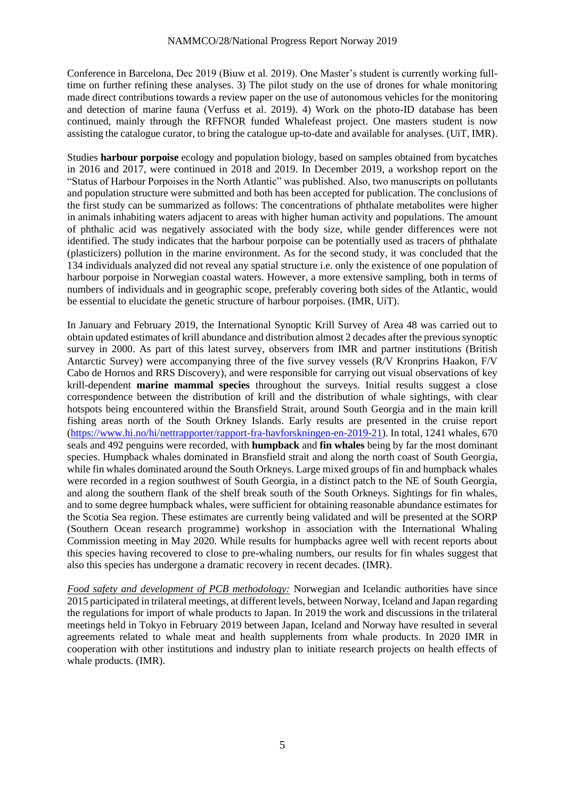Conference in Barcelona, Dec 2019 (Biuw et al. 2019). One Master's student is currently working fulltime on further refining these analyses. 3) The pilot study on the use of drones for whale monitoring made direct contributions towards a review paper on the use of autonomous vehicles for the monitoring and detection of marine fauna (Verfuss et al. 2019). 4) Work on the photo-ID database has been continued, mainly through the RFFNOR funded Whalefeast project. One masters student is now assisting the catalogue curator, to bring the catalogue up-to-date and available for analyses. (UiT, IMR).

Studies **harbour porpoise** ecology and population biology, based on samples obtained from bycatches in 2016 and 2017, were continued in 2018 and 2019. In December 2019, a workshop report on the "Status of Harbour Porpoises in the North Atlantic" was published. Also, two manuscripts on pollutants and population structure were submitted and both has been accepted for publication. The conclusions of the first study can be summarized as follows: The concentrations of phthalate metabolites were higher in animals inhabiting waters adjacent to areas with higher human activity and populations. The amount of phthalic acid was negatively associated with the body size, while gender differences were not identified. The study indicates that the harbour porpoise can be potentially used as tracers of phthalate (plasticizers) pollution in the marine environment. As for the second study, it was concluded that the 134 individuals analyzed did not reveal any spatial structure i.e. only the existence of one population of harbour porpoise in Norwegian coastal waters. However, a more extensive sampling, both in terms of numbers of individuals and in geographic scope, preferably covering both sides of the Atlantic, would be essential to elucidate the genetic structure of harbour porpoises. (IMR, UiT).

In January and February 2019, the International Synoptic Krill Survey of Area 48 was carried out to obtain updated estimates of krill abundance and distribution almost 2 decades after the previous synoptic survey in 2000. As part of this latest survey, observers from IMR and partner institutions (British Antarctic Survey) were accompanying three of the five survey vessels (R/V Kronprins Haakon, F/V Cabo de Hornos and RRS Discovery), and were responsible for carrying out visual observations of key krill-dependent **marine mammal species** throughout the surveys. Initial results suggest a close correspondence between the distribution of krill and the distribution of whale sightings, with clear hotspots being encountered within the Bransfield Strait, around South Georgia and in the main krill fishing areas north of the South Orkney Islands. Early results are presented in the cruise report [\(https://www.hi.no/hi/nettrapporter/rapport-fra-havforskningen-en-2019-21\)](https://www.hi.no/hi/nettrapporter/rapport-fra-havforskningen-en-2019-21). In total, 1241 whales, 670 seals and 492 penguins were recorded, with **humpback** and **fin whales** being by far the most dominant species. Humpback whales dominated in Bransfield strait and along the north coast of South Georgia, while fin whales dominated around the South Orkneys. Large mixed groups of fin and humpback whales were recorded in a region southwest of South Georgia, in a distinct patch to the NE of South Georgia, and along the southern flank of the shelf break south of the South Orkneys. Sightings for fin whales, and to some degree humpback whales, were sufficient for obtaining reasonable abundance estimates for the Scotia Sea region. These estimates are currently being validated and will be presented at the SORP (Southern Ocean research programme) workshop in association with the International Whaling Commission meeting in May 2020. While results for humpbacks agree well with recent reports about this species having recovered to close to pre-whaling numbers, our results for fin whales suggest that also this species has undergone a dramatic recovery in recent decades. (IMR).

*Food safety and development of PCB methodology:* Norwegian and Icelandic authorities have since 2015 participated in trilateral meetings, at different levels, between Norway, Iceland and Japan regarding the regulations for import of whale products to Japan. In 2019 the work and discussions in the trilateral meetings held in Tokyo in February 2019 between Japan, Iceland and Norway have resulted in several agreements related to whale meat and health supplements from whale products. In 2020 IMR in cooperation with other institutions and industry plan to initiate research projects on health effects of whale products. (IMR).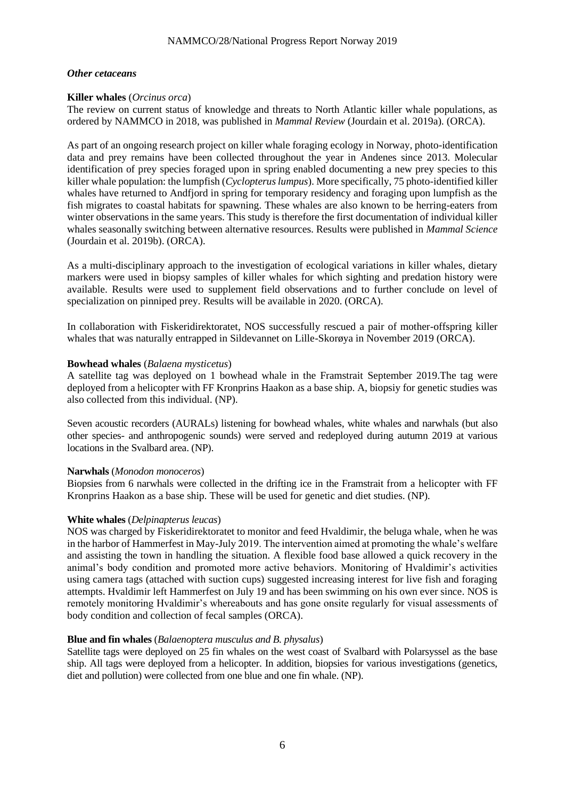#### *Other cetaceans*

### **Killer whales** (*Orcinus orca*)

The review on current status of knowledge and threats to North Atlantic killer whale populations, as ordered by NAMMCO in 2018, was published in *Mammal Review* (Jourdain et al. 2019a). (ORCA).

As part of an ongoing research project on killer whale foraging ecology in Norway, photo-identification data and prey remains have been collected throughout the year in Andenes since 2013. Molecular identification of prey species foraged upon in spring enabled documenting a new prey species to this killer whale population: the lumpfish (*Cyclopterus lumpus*). More specifically, 75 photo-identified killer whales have returned to Andfjord in spring for temporary residency and foraging upon lumpfish as the fish migrates to coastal habitats for spawning. These whales are also known to be herring-eaters from winter observations in the same years. This study is therefore the first documentation of individual killer whales seasonally switching between alternative resources. Results were published in *Mammal Science* (Jourdain et al. 2019b). (ORCA).

As a multi-disciplinary approach to the investigation of ecological variations in killer whales, dietary markers were used in biopsy samples of killer whales for which sighting and predation history were available. Results were used to supplement field observations and to further conclude on level of specialization on pinniped prey. Results will be available in 2020. (ORCA).

In collaboration with Fiskeridirektoratet, NOS successfully rescued a pair of mother-offspring killer whales that was naturally entrapped in Sildevannet on Lille-Skorøya in November 2019 (ORCA).

#### **Bowhead whales** (*Balaena mysticetus*)

A satellite tag was deployed on 1 bowhead whale in the Framstrait September 2019.The tag were deployed from a helicopter with FF Kronprins Haakon as a base ship. A, biopsiy for genetic studies was also collected from this individual. (NP).

Seven acoustic recorders (AURALs) listening for bowhead whales, white whales and narwhals (but also other species- and anthropogenic sounds) were served and redeployed during autumn 2019 at various locations in the Svalbard area. (NP).

#### **Narwhals** (*Monodon monoceros*)

Biopsies from 6 narwhals were collected in the drifting ice in the Framstrait from a helicopter with FF Kronprins Haakon as a base ship. These will be used for genetic and diet studies. (NP).

#### **White whales** (*Delpinapterus leucas*)

NOS was charged by Fiskeridirektoratet to monitor and feed Hvaldimir, the beluga whale, when he was in the harbor of Hammerfest in May-July 2019. The intervention aimed at promoting the whale's welfare and assisting the town in handling the situation. A flexible food base allowed a quick recovery in the animal's body condition and promoted more active behaviors. Monitoring of Hvaldimir's activities using camera tags (attached with suction cups) suggested increasing interest for live fish and foraging attempts. Hvaldimir left Hammerfest on July 19 and has been swimming on his own ever since. NOS is remotely monitoring Hvaldimir's whereabouts and has gone onsite regularly for visual assessments of body condition and collection of fecal samples (ORCA).

#### **Blue and fin whales** (*Balaenoptera musculus and B. physalus*)

Satellite tags were deployed on 25 fin whales on the west coast of Svalbard with Polarsyssel as the base ship. All tags were deployed from a helicopter. In addition, biopsies for various investigations (genetics, diet and pollution) were collected from one blue and one fin whale. (NP).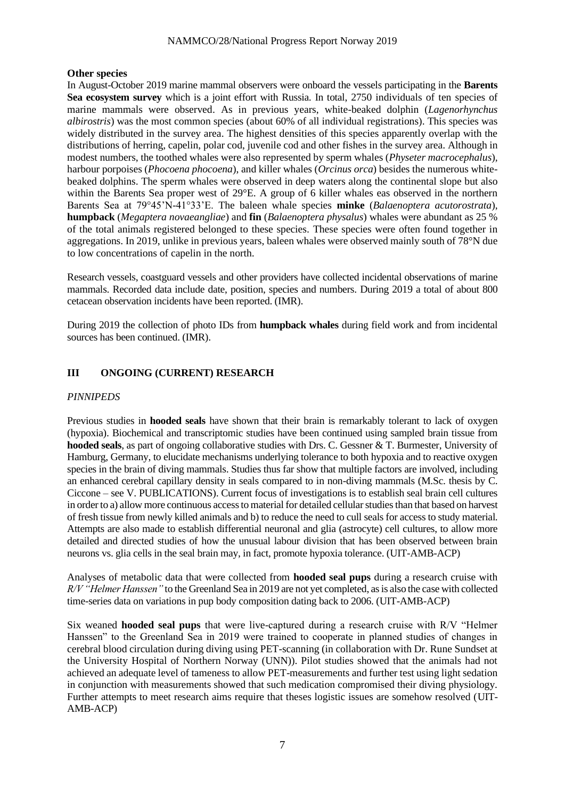#### **Other species**

In August-October 2019 marine mammal observers were onboard the vessels participating in the **Barents Sea ecosystem survey** which is a joint effort with Russia. In total, 2750 individuals of ten species of marine mammals were observed. As in previous years, white-beaked dolphin (*Lagenorhynchus albirostris*) was the most common species (about 60% of all individual registrations). This species was widely distributed in the survey area. The highest densities of this species apparently overlap with the distributions of herring, capelin, polar cod, juvenile cod and other fishes in the survey area. Although in modest numbers, the toothed whales were also represented by sperm whales (*Physeter macrocephalus*)*,* harbour porpoises (*Phocoena phocoena*), and killer whales (*Orcinus orca*) besides the numerous whitebeaked dolphins. The sperm whales were observed in deep waters along the continental slope but also within the Barents Sea proper west of 29°E. A group of 6 killer whales eas observed in the northern Barents Sea at 79°45'N-41°33'E. The baleen whale species **minke** (*Balaenoptera acutorostrata*), **humpback** (*Megaptera novaeangliae*) and **fin** (*Balaenoptera physalus*) whales were abundant as 25 % of the total animals registered belonged to these species. These species were often found together in aggregations. In 2019, unlike in previous years, baleen whales were observed mainly south of 78°N due to low concentrations of capelin in the north.

Research vessels, coastguard vessels and other providers have collected incidental observations of marine mammals. Recorded data include date, position, species and numbers. During 2019 a total of about 800 cetacean observation incidents have been reported. (IMR).

During 2019 the collection of photo IDs from **humpback whales** during field work and from incidental sources has been continued. (IMR).

# **III ONGOING (CURRENT) RESEARCH**

### *PINNIPEDS*

Previous studies in **hooded seals** have shown that their brain is remarkably tolerant to lack of oxygen (hypoxia). Biochemical and transcriptomic studies have been continued using sampled brain tissue from **hooded seals**, as part of ongoing collaborative studies with Drs. C. Gessner & T. Burmester, University of Hamburg, Germany, to elucidate mechanisms underlying tolerance to both hypoxia and to reactive oxygen species in the brain of diving mammals. Studies thus far show that multiple factors are involved, including an enhanced cerebral capillary density in seals compared to in non-diving mammals (M.Sc. thesis by C. Ciccone – see V. PUBLICATIONS). Current focus of investigations is to establish seal brain cell cultures in order to a) allow more continuous access to material for detailed cellular studies than that based on harvest of fresh tissue from newly killed animals and b) to reduce the need to cull seals for access to study material. Attempts are also made to establish differential neuronal and glia (astrocyte) cell cultures, to allow more detailed and directed studies of how the unusual labour division that has been observed between brain neurons vs. glia cells in the seal brain may, in fact, promote hypoxia tolerance. (UIT-AMB-ACP)

Analyses of metabolic data that were collected from **hooded seal pups** during a research cruise with *R/V "Helmer Hanssen"* to the Greenland Sea in 2019 are not yet completed, as is also the case with collected time-series data on variations in pup body composition dating back to 2006. (UIT-AMB-ACP)

Six weaned **hooded seal pups** that were live-captured during a research cruise with R/V "Helmer Hanssen" to the Greenland Sea in 2019 were trained to cooperate in planned studies of changes in cerebral blood circulation during diving using PET-scanning (in collaboration with Dr. Rune Sundset at the University Hospital of Northern Norway (UNN)). Pilot studies showed that the animals had not achieved an adequate level of tameness to allow PET-measurements and further test using light sedation in conjunction with measurements showed that such medication compromised their diving physiology. Further attempts to meet research aims require that theses logistic issues are somehow resolved (UIT-AMB-ACP)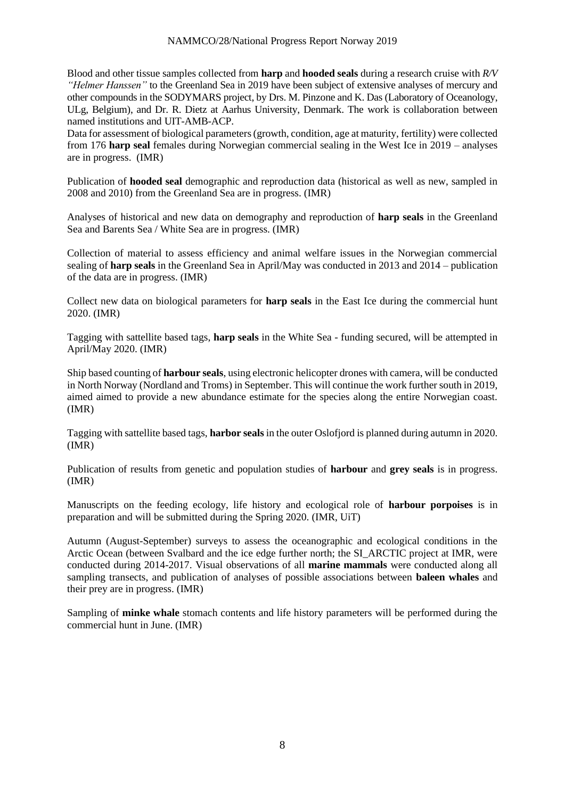Blood and other tissue samples collected from **harp** and **hooded seals** during a research cruise with *R/V "Helmer Hanssen"* to the Greenland Sea in 2019 have been subject of extensive analyses of mercury and other compounds in the SODYMARS project, by Drs. M. Pinzone and K. Das (Laboratory of Oceanology, ULg, Belgium), and Dr. R. Dietz at Aarhus University, Denmark. The work is collaboration between named institutions and UIT-AMB-ACP.

Data for assessment of biological parameters (growth, condition, age at maturity, fertility) were collected from 176 **harp seal** females during Norwegian commercial sealing in the West Ice in 2019 – analyses are in progress. (IMR)

Publication of **hooded seal** demographic and reproduction data (historical as well as new, sampled in 2008 and 2010) from the Greenland Sea are in progress. (IMR)

Analyses of historical and new data on demography and reproduction of **harp seals** in the Greenland Sea and Barents Sea / White Sea are in progress. (IMR)

Collection of material to assess efficiency and animal welfare issues in the Norwegian commercial sealing of **harp seals** in the Greenland Sea in April/May was conducted in 2013 and 2014 – publication of the data are in progress. (IMR)

Collect new data on biological parameters for **harp seals** in the East Ice during the commercial hunt 2020. (IMR)

Tagging with sattellite based tags, **harp seals** in the White Sea - funding secured, will be attempted in April/May 2020. (IMR)

Ship based counting of **harbour seals**, using electronic helicopter drones with camera, will be conducted in North Norway (Nordland and Troms) in September. This will continue the work further south in 2019, aimed aimed to provide a new abundance estimate for the species along the entire Norwegian coast. (IMR)

Tagging with sattellite based tags, **harbor seals** in the outer Oslofjord is planned during autumn in 2020. (IMR)

Publication of results from genetic and population studies of **harbour** and **grey seals** is in progress. (IMR)

Manuscripts on the feeding ecology, life history and ecological role of **harbour porpoises** is in preparation and will be submitted during the Spring 2020. (IMR, UiT)

Autumn (August-September) surveys to assess the oceanographic and ecological conditions in the Arctic Ocean (between Svalbard and the ice edge further north; the SI\_ARCTIC project at IMR, were conducted during 2014-2017. Visual observations of all **marine mammals** were conducted along all sampling transects, and publication of analyses of possible associations between **baleen whales** and their prey are in progress. (IMR)

Sampling of **minke whale** stomach contents and life history parameters will be performed during the commercial hunt in June. (IMR)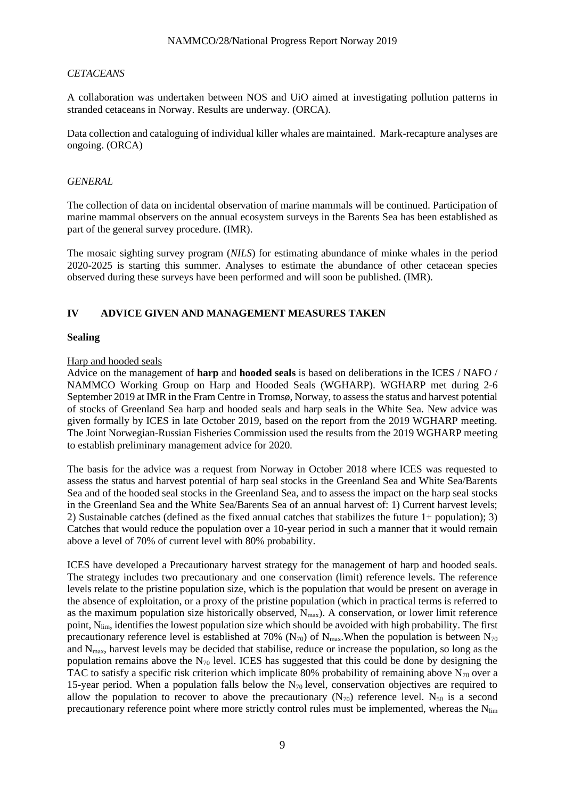# *CETACEANS*

A collaboration was undertaken between NOS and UiO aimed at investigating pollution patterns in stranded cetaceans in Norway. Results are underway. (ORCA).

Data collection and cataloguing of individual killer whales are maintained. Mark-recapture analyses are ongoing. (ORCA)

# *GENERAL*

The collection of data on incidental observation of marine mammals will be continued. Participation of marine mammal observers on the annual ecosystem surveys in the Barents Sea has been established as part of the general survey procedure. (IMR).

The mosaic sighting survey program (*NILS*) for estimating abundance of minke whales in the period 2020-2025 is starting this summer. Analyses to estimate the abundance of other cetacean species observed during these surveys have been performed and will soon be published. (IMR).

# **IV ADVICE GIVEN AND MANAGEMENT MEASURES TAKEN**

### **Sealing**

### Harp and hooded seals

Advice on the management of **harp** and **hooded seals** is based on deliberations in the ICES / NAFO / NAMMCO Working Group on Harp and Hooded Seals (WGHARP). WGHARP met during 2-6 September 2019 at IMR in the Fram Centre in Tromsø, Norway, to assess the status and harvest potential of stocks of Greenland Sea harp and hooded seals and harp seals in the White Sea. New advice was given formally by ICES in late October 2019, based on the report from the 2019 WGHARP meeting. The Joint Norwegian-Russian Fisheries Commission used the results from the 2019 WGHARP meeting to establish preliminary management advice for 2020.

The basis for the advice was a request from Norway in October 2018 where ICES was requested to assess the status and harvest potential of harp seal stocks in the Greenland Sea and White Sea/Barents Sea and of the hooded seal stocks in the Greenland Sea, and to assess the impact on the harp seal stocks in the Greenland Sea and the White Sea/Barents Sea of an annual harvest of: 1) Current harvest levels; 2) Sustainable catches (defined as the fixed annual catches that stabilizes the future 1+ population); 3) Catches that would reduce the population over a 10-year period in such a manner that it would remain above a level of 70% of current level with 80% probability.

ICES have developed a Precautionary harvest strategy for the management of harp and hooded seals. The strategy includes two precautionary and one conservation (limit) reference levels. The reference levels relate to the pristine population size, which is the population that would be present on average in the absence of exploitation, or a proxy of the pristine population (which in practical terms is referred to as the maximum population size historically observed,  $N_{max}$ ). A conservation, or lower limit reference point,  $N_{\text{lim}}$ , identifies the lowest population size which should be avoided with high probability. The first precautionary reference level is established at 70% (N<sub>70</sub>) of N<sub>max</sub>. When the population is between N<sub>70</sub> and  $N_{\text{max}}$ , harvest levels may be decided that stabilise, reduce or increase the population, so long as the population remains above the  $N_{70}$  level. ICES has suggested that this could be done by designing the TAC to satisfy a specific risk criterion which implicate 80% probability of remaining above  $N_{70}$  over a 15-year period. When a population falls below the  $N_{70}$  level, conservation objectives are required to allow the population to recover to above the precautionary  $(N_{70})$  reference level. N<sub>50</sub> is a second precautionary reference point where more strictly control rules must be implemented, whereas the N<sub>lim</sub>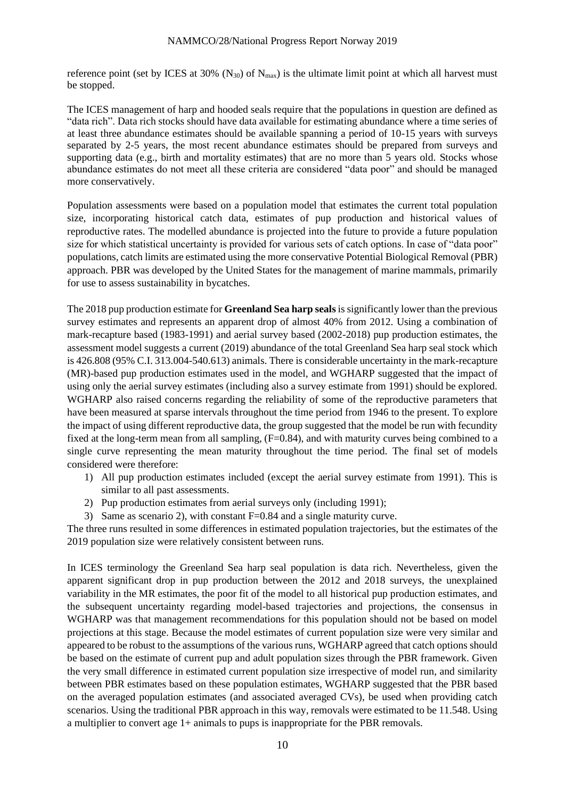reference point (set by ICES at 30%  $(N_{30})$  of  $N_{\text{max}}$ ) is the ultimate limit point at which all harvest must be stopped.

The ICES management of harp and hooded seals require that the populations in question are defined as "data rich". Data rich stocks should have data available for estimating abundance where a time series of at least three abundance estimates should be available spanning a period of 10-15 years with surveys separated by 2-5 years, the most recent abundance estimates should be prepared from surveys and supporting data (e.g., birth and mortality estimates) that are no more than 5 years old. Stocks whose abundance estimates do not meet all these criteria are considered "data poor" and should be managed more conservatively.

Population assessments were based on a population model that estimates the current total population size, incorporating historical catch data, estimates of pup production and historical values of reproductive rates. The modelled abundance is projected into the future to provide a future population size for which statistical uncertainty is provided for various sets of catch options. In case of "data poor" populations, catch limits are estimated using the more conservative Potential Biological Removal (PBR) approach. PBR was developed by the United States for the management of marine mammals, primarily for use to assess sustainability in bycatches.

The 2018 pup production estimate for **Greenland Sea harp seals**is significantly lower than the previous survey estimates and represents an apparent drop of almost 40% from 2012. Using a combination of mark-recapture based (1983-1991) and aerial survey based (2002-2018) pup production estimates, the assessment model suggests a current (2019) abundance of the total Greenland Sea harp seal stock which is 426.808 (95% C.I. 313.004-540.613) animals. There is considerable uncertainty in the mark-recapture (MR)-based pup production estimates used in the model, and WGHARP suggested that the impact of using only the aerial survey estimates (including also a survey estimate from 1991) should be explored. WGHARP also raised concerns regarding the reliability of some of the reproductive parameters that have been measured at sparse intervals throughout the time period from 1946 to the present. To explore the impact of using different reproductive data, the group suggested that the model be run with fecundity fixed at the long-term mean from all sampling,  $(F=0.84)$ , and with maturity curves being combined to a single curve representing the mean maturity throughout the time period. The final set of models considered were therefore:

- 1) All pup production estimates included (except the aerial survey estimate from 1991). This is similar to all past assessments.
- 2) Pup production estimates from aerial surveys only (including 1991);
- 3) Same as scenario 2), with constant F=0.84 and a single maturity curve.

The three runs resulted in some differences in estimated population trajectories, but the estimates of the 2019 population size were relatively consistent between runs.

In ICES terminology the Greenland Sea harp seal population is data rich. Nevertheless, given the apparent significant drop in pup production between the 2012 and 2018 surveys, the unexplained variability in the MR estimates, the poor fit of the model to all historical pup production estimates, and the subsequent uncertainty regarding model-based trajectories and projections, the consensus in WGHARP was that management recommendations for this population should not be based on model projections at this stage. Because the model estimates of current population size were very similar and appeared to be robust to the assumptions of the various runs, WGHARP agreed that catch options should be based on the estimate of current pup and adult population sizes through the PBR framework. Given the very small difference in estimated current population size irrespective of model run, and similarity between PBR estimates based on these population estimates, WGHARP suggested that the PBR based on the averaged population estimates (and associated averaged CVs), be used when providing catch scenarios. Using the traditional PBR approach in this way, removals were estimated to be 11.548. Using a multiplier to convert age 1+ animals to pups is inappropriate for the PBR removals.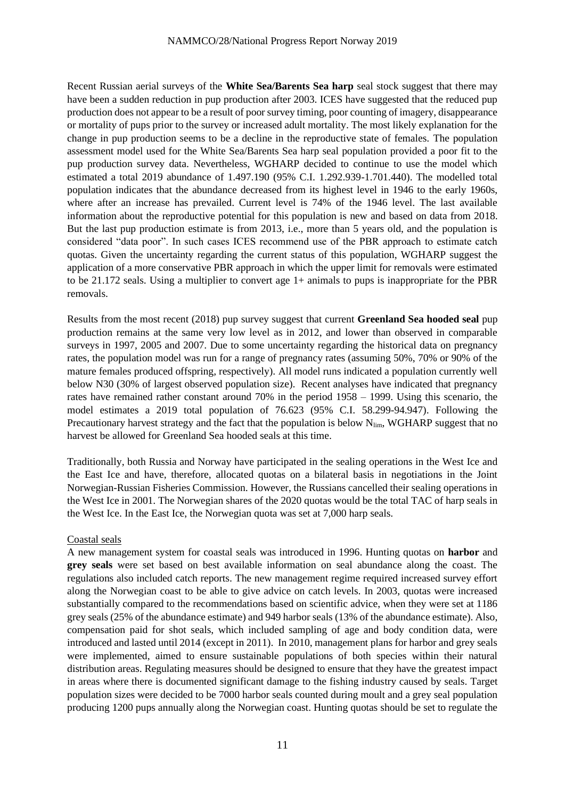Recent Russian aerial surveys of the **White Sea/Barents Sea harp** seal stock suggest that there may have been a sudden reduction in pup production after 2003. ICES have suggested that the reduced pup production does not appear to be a result of poor survey timing, poor counting of imagery, disappearance or mortality of pups prior to the survey or increased adult mortality. The most likely explanation for the change in pup production seems to be a decline in the reproductive state of females. The population assessment model used for the White Sea/Barents Sea harp seal population provided a poor fit to the pup production survey data. Nevertheless, WGHARP decided to continue to use the model which estimated a total 2019 abundance of 1.497.190 (95% C.I. 1.292.939-1.701.440). The modelled total population indicates that the abundance decreased from its highest level in 1946 to the early 1960s, where after an increase has prevailed. Current level is 74% of the 1946 level. The last available information about the reproductive potential for this population is new and based on data from 2018. But the last pup production estimate is from 2013, i.e., more than 5 years old, and the population is considered "data poor". In such cases ICES recommend use of the PBR approach to estimate catch quotas. Given the uncertainty regarding the current status of this population, WGHARP suggest the application of a more conservative PBR approach in which the upper limit for removals were estimated to be 21.172 seals. Using a multiplier to convert age 1+ animals to pups is inappropriate for the PBR removals.

Results from the most recent (2018) pup survey suggest that current **Greenland Sea hooded seal** pup production remains at the same very low level as in 2012, and lower than observed in comparable surveys in 1997, 2005 and 2007. Due to some uncertainty regarding the historical data on pregnancy rates, the population model was run for a range of pregnancy rates (assuming 50%, 70% or 90% of the mature females produced offspring, respectively). All model runs indicated a population currently well below N30 (30% of largest observed population size). Recent analyses have indicated that pregnancy rates have remained rather constant around 70% in the period 1958 – 1999. Using this scenario, the model estimates a 2019 total population of 76.623 (95% C.I. 58.299-94.947). Following the Precautionary harvest strategy and the fact that the population is below  $N_{\text{lim}}$ , WGHARP suggest that no harvest be allowed for Greenland Sea hooded seals at this time.

Traditionally, both Russia and Norway have participated in the sealing operations in the West Ice and the East Ice and have, therefore, allocated quotas on a bilateral basis in negotiations in the Joint Norwegian-Russian Fisheries Commission. However, the Russians cancelled their sealing operations in the West Ice in 2001. The Norwegian shares of the 2020 quotas would be the total TAC of harp seals in the West Ice. In the East Ice, the Norwegian quota was set at 7,000 harp seals.

#### Coastal seals

A new management system for coastal seals was introduced in 1996. Hunting quotas on **harbor** and **grey seals** were set based on best available information on seal abundance along the coast. The regulations also included catch reports. The new management regime required increased survey effort along the Norwegian coast to be able to give advice on catch levels. In 2003, quotas were increased substantially compared to the recommendations based on scientific advice, when they were set at 1186 grey seals (25% of the abundance estimate) and 949 harbor seals (13% of the abundance estimate). Also, compensation paid for shot seals, which included sampling of age and body condition data, were introduced and lasted until 2014 (except in 2011). In 2010, management plans for harbor and grey seals were implemented, aimed to ensure sustainable populations of both species within their natural distribution areas. Regulating measures should be designed to ensure that they have the greatest impact in areas where there is documented significant damage to the fishing industry caused by seals. Target population sizes were decided to be 7000 harbor seals counted during moult and a grey seal population producing 1200 pups annually along the Norwegian coast. Hunting quotas should be set to regulate the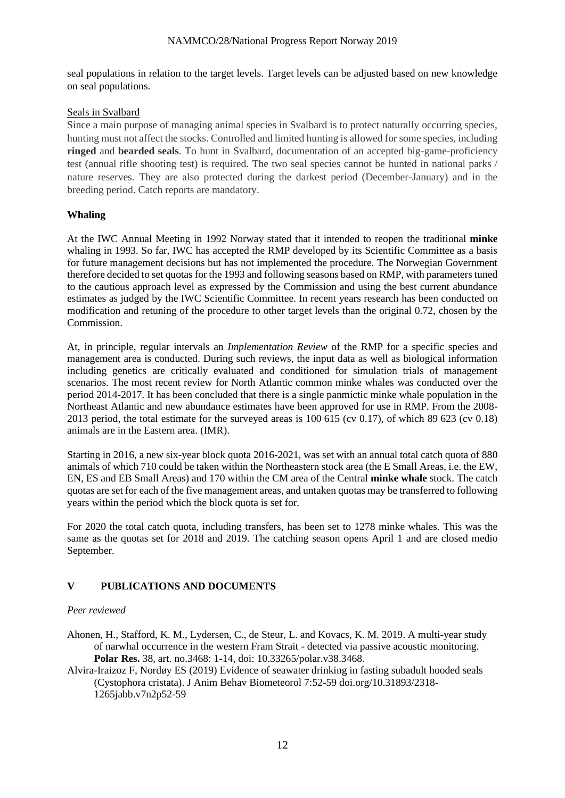seal populations in relation to the target levels. Target levels can be adjusted based on new knowledge on seal populations.

# Seals in Svalbard

Since a main purpose of managing animal species in Svalbard is to protect naturally occurring species, hunting must not affect the stocks. Controlled and limited hunting is allowed for some species, including **ringed** and **bearded seals**. To hunt in Svalbard, documentation of an accepted big-game-proficiency test (annual rifle shooting test) is required. The two seal species cannot be hunted in national parks / nature reserves. They are also protected during the darkest period (December-January) and in the breeding period. Catch reports are mandatory.

# **Whaling**

At the IWC Annual Meeting in 1992 Norway stated that it intended to reopen the traditional **minke** whaling in 1993. So far, IWC has accepted the RMP developed by its Scientific Committee as a basis for future management decisions but has not implemented the procedure. The Norwegian Government therefore decided to set quotas for the 1993 and following seasons based on RMP, with parameters tuned to the cautious approach level as expressed by the Commission and using the best current abundance estimates as judged by the IWC Scientific Committee. In recent years research has been conducted on modification and retuning of the procedure to other target levels than the original 0.72, chosen by the Commission.

At, in principle, regular intervals an *Implementation Review* of the RMP for a specific species and management area is conducted. During such reviews, the input data as well as biological information including genetics are critically evaluated and conditioned for simulation trials of management scenarios. The most recent review for North Atlantic common minke whales was conducted over the period 2014-2017. It has been concluded that there is a single panmictic minke whale population in the Northeast Atlantic and new abundance estimates have been approved for use in RMP. From the 2008- 2013 period, the total estimate for the surveyed areas is 100 615 (cv 0.17), of which 89 623 (cv 0.18) animals are in the Eastern area. (IMR).

Starting in 2016, a new six-year block quota 2016-2021, was set with an annual total catch quota of 880 animals of which 710 could be taken within the Northeastern stock area (the E Small Areas, i.e. the EW, EN, ES and EB Small Areas) and 170 within the CM area of the Central **minke whale** stock. The catch quotas are set for each of the five management areas, and untaken quotas may be transferred to following years within the period which the block quota is set for.

For 2020 the total catch quota, including transfers, has been set to 1278 minke whales. This was the same as the quotas set for 2018 and 2019. The catching season opens April 1 and are closed medio September.

# **V PUBLICATIONS AND DOCUMENTS**

# *Peer reviewed*

- Ahonen, H., Stafford, K. M., Lydersen, C., de Steur, L. and Kovacs, K. M. 2019. A multi-year study of narwhal occurrence in the western Fram Strait - detected via passive acoustic monitoring. **Polar Res.** 38, art. no.3468: 1-14, doi: 10.33265/polar.v38.3468.
- Alvira-Iraizoz F, Nordøy ES (2019) Evidence of seawater drinking in fasting subadult hooded seals (Cystophora cristata). J Anim Behav Biometeorol 7:52-59 doi.org/10.31893/2318- 1265jabb.v7n2p52-59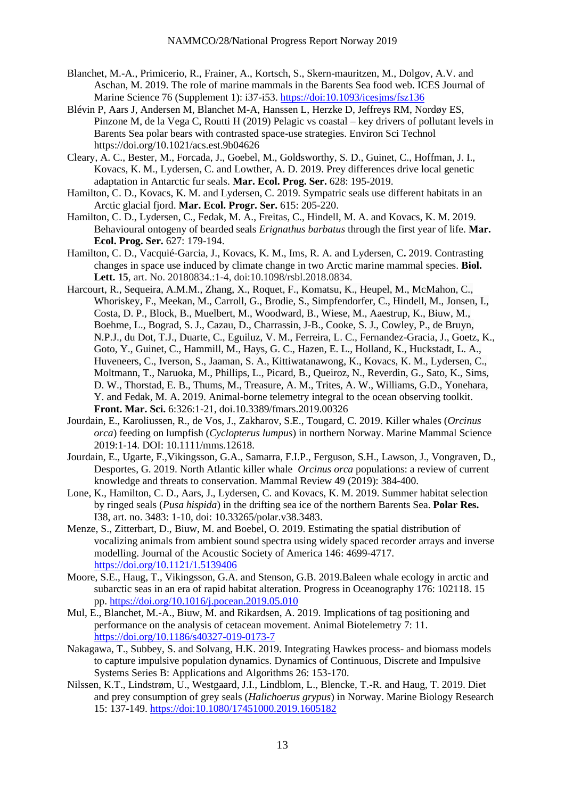- Blanchet, M.-A., Primicerio, R., Frainer, A., Kortsch, S., Skern-mauritzen, M., Dolgov, A.V. and Aschan, M. 2019. The role of marine mammals in the Barents Sea food web. ICES Journal of Marine Science 76 (Supplement 1): i37-i53. https://doi:10.1093/icesjms/fsz136
- Blévin P, Aars J, Andersen M, Blanchet M-A, Hanssen L, Herzke D, Jeffreys RM, Nordøy ES, Pinzone M, de la Vega C, Routti H (2019) Pelagic vs coastal – key drivers of pollutant levels in Barents Sea polar bears with contrasted space-use strategies. Environ Sci Technol https://doi.org/10.1021/acs.est.9b04626
- Cleary, A. C., Bester, M., Forcada, J., Goebel, M., Goldsworthy, S. D., Guinet, C., Hoffman, J. I., Kovacs, K. M., Lydersen, C. and Lowther, A. D. 2019. Prey differences drive local genetic adaptation in Antarctic fur seals. **Mar. Ecol. Prog. Ser.** 628: 195-2019.
- Hamilton, C. D., Kovacs, K. M. and Lydersen, C. 2019. Sympatric seals use different habitats in an Arctic glacial fjord. **Mar. Ecol. Progr. Ser.** 615: 205-220.
- Hamilton, C. D., Lydersen, C., Fedak, M. A., Freitas, C., Hindell, M. A. and Kovacs, K. M. 2019. Behavioural ontogeny of bearded seals *Erignathus barbatus* through the first year of life. **Mar. Ecol. Prog. Ser.** 627: 179-194.
- Hamilton, C. D., Vacquié-Garcia, J., Kovacs, K. M., Ims, R. A. and Lydersen, C**.** 2019. Contrasting changes in space use induced by climate change in two Arctic marine mammal species. **Biol. Lett. 15**, art. No. 20180834.:1-4, doi:10.1098/rsbl.2018.0834.
- Harcourt, R., Sequeira, A.M.M., Zhang, X., Roquet, F., Komatsu, K., Heupel, M., McMahon, C., Whoriskey, F., Meekan, M., Carroll, G., Brodie, S., Simpfendorfer, C., Hindell, M., Jonsen, I., Costa, D. P., Block, B., Muelbert, M., Woodward, B., Wiese, M., Aaestrup, K., Biuw, M., Boehme, L., Bograd, S. J., Cazau, D., Charrassin, J-B., Cooke, S. J., Cowley, P., de Bruyn, N.P.J., du Dot, T.J., Duarte, C., Eguiluz, V. M., Ferreira, L. C., Fernandez-Gracia, J., Goetz, K., Goto, Y., Guinet, C., Hammill, M., Hays, G. C., Hazen, E. L., Holland, K., Huckstadt, L. A., Huveneers, C., Iverson, S., Jaaman, S. A., Kittiwatanawong, K., Kovacs, K. M., Lydersen, C., Moltmann, T., Naruoka, M., Phillips, L., Picard, B., Queiroz, N., Reverdin, G., Sato, K., Sims, D. W., Thorstad, E. B., Thums, M., Treasure, A. M., Trites, A. W., Williams, G.D., Yonehara, Y. and Fedak, M. A. 2019. Animal-borne telemetry integral to the ocean observing toolkit. **Front. Mar. Sci.** 6:326:1-21, doi.10.3389/fmars.2019.00326
- Jourdain, E., Karoliussen, R., de Vos, J., Zakharov, S.E., Tougard, C. 2019. Killer whales (*Orcinus orca*) feeding on lumpfish (*Cyclopterus lumpus*) in northern Norway. Marine Mammal Science 2019:1-14. DOI: 10.1111/mms.12618.
- Jourdain, E., Ugarte, F.,Vikingsson, G.A., Samarra, F.I.P., Ferguson, S.H., Lawson, J., Vongraven, D., Desportes, G. 2019. North Atlantic killer whale *Orcinus orca* populations: a review of current knowledge and threats to conservation. Mammal Review 49 (2019): 384-400.
- Lone, K., Hamilton, C. D., Aars, J., Lydersen, C. and Kovacs, K. M. 2019. Summer habitat selection by ringed seals (*Pusa hispida*) in the drifting sea ice of the northern Barents Sea. **Polar Res.** I38, art. no. 3483: 1-10, doi: 10.33265/polar.v38.3483.
- Menze, S., Zitterbart, D., Biuw, M. and Boebel, O. 2019. Estimating the spatial distribution of vocalizing animals from ambient sound spectra using widely spaced recorder arrays and inverse modelling. Journal of the Acoustic Society of America 146: 4699-4717. <https://doi.org/10.1121/1.5139406>
- Moore, S.E., Haug, T., Vikingsson, G.A. and Stenson, G.B. 2019.Baleen whale ecology in arctic and subarctic seas in an era of rapid habitat alteration. Progress in Oceanography 176: 102118. 15 pp.<https://doi.org/10.1016/j.pocean.2019.05.010>
- Mul, E., Blanchet, M.-A., Biuw, M. and Rikardsen, A. 2019. Implications of tag positioning and performance on the analysis of cetacean movement. Animal Biotelemetry 7: 11. <https://doi.org/10.1186/s40327-019-0173-7>
- Nakagawa, T., Subbey, S. and Solvang, H.K. 2019. Integrating Hawkes process- and biomass models to capture impulsive population dynamics. Dynamics of Continuous, Discrete and Impulsive Systems Series B: Applications and Algorithms 26: 153-170.
- Nilssen, K.T., Lindstrøm, U., Westgaard, J.I., Lindblom, L., Blencke, T.-R. and Haug, T. 2019. Diet and prey consumption of grey seals (*Halichoerus grypus*) in Norway. Marine Biology Research 15: 137-149.<https://doi:10.1080/17451000.2019.1605182>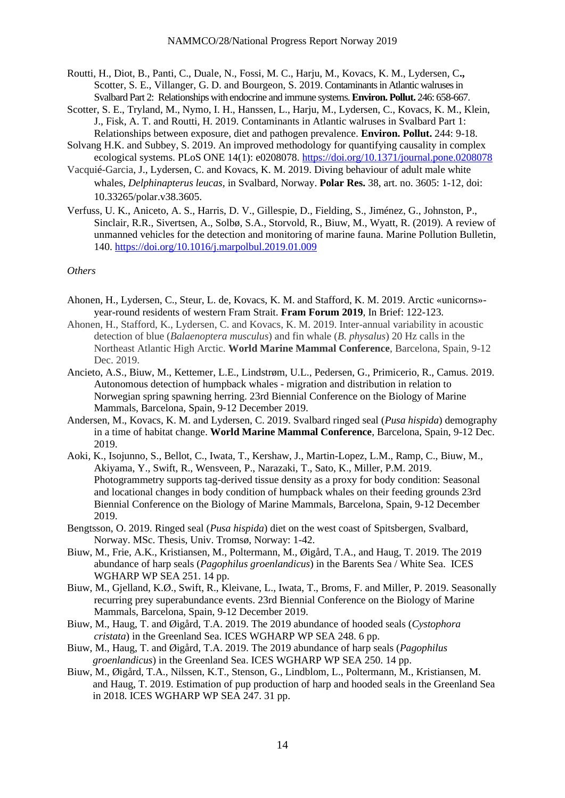- Routti, H., Diot, B., Panti, C., Duale, N., Fossi, M. C., Harju, M., Kovacs, K. M., Lydersen, C**.,** Scotter, S. E., Villanger, G. D. and Bourgeon, S. 2019. Contaminants in Atlantic walruses in Svalbard Part 2: Relationships with endocrine and immune systems. **Environ. Pollut.** 246: 658-667.
- Scotter, S. E., Tryland, M., Nymo, I. H., Hanssen, L., Harju, M., Lydersen, C., Kovacs, K. M., Klein, J., Fisk, A. T. and Routti, H. 2019. Contaminants in Atlantic walruses in Svalbard Part 1: Relationships between exposure, diet and pathogen prevalence. **Environ. Pollut.** 244: 9-18.
- Solvang H.K. and Subbey, S. 2019. An improved methodology for quantifying causality in complex ecological systems. PLoS ONE 14(1): e0208078.<https://doi.org/10.1371/journal.pone.0208078>
- Vacquié-Garcia, J., Lydersen, C. and Kovacs, K. M. 2019. Diving behaviour of adult male white whales, *Delphinapterus leucas,* in Svalbard, Norway. **Polar Res.** 38, art. no. 3605: 1-12, doi: 10.33265/polar.v38.3605.
- Verfuss, U. K., Aniceto, A. S., Harris, D. V., Gillespie, D., Fielding, S., Jiménez, G., Johnston, P., Sinclair, R.R., Sivertsen, A., Solbø, S.A., Storvold, R., Biuw, M., Wyatt, R. (2019). A review of unmanned vehicles for the detection and monitoring of marine fauna. Marine Pollution Bulletin, 140.<https://doi.org/10.1016/j.marpolbul.2019.01.009>

#### *Others*

- Ahonen, H., Lydersen, C., Steur, L. de, Kovacs, K. M. and Stafford, K. M. 2019. Arctic «unicorns» year-round residents of western Fram Strait. **Fram Forum 2019**, In Brief: 122-123.
- Ahonen, H., Stafford, K., Lydersen, C. and Kovacs, K. M. 2019. Inter-annual variability in acoustic detection of blue (*Balaenoptera musculus*) and fin whale (*B. physalus*) 20 Hz calls in the Northeast Atlantic High Arctic. **World Marine Mammal Conference**, Barcelona, Spain, 9-12 Dec. 2019.
- Ancieto, A.S., Biuw, M., Kettemer, L.E., Lindstrøm, U.L., Pedersen, G., Primicerio, R., Camus. 2019. Autonomous detection of humpback whales - migration and distribution in relation to Norwegian spring spawning herring. 23rd Biennial Conference on the Biology of Marine Mammals, Barcelona, Spain, 9-12 December 2019.
- Andersen, M., Kovacs, K. M. and Lydersen, C. 2019. Svalbard ringed seal (*Pusa hispida*) demography in a time of habitat change. **World Marine Mammal Conference**, Barcelona, Spain, 9-12 Dec. 2019.
- Aoki, K., Isojunno, S., Bellot, C., Iwata, T., Kershaw, J., Martin-Lopez, L.M., Ramp, C., Biuw, M., Akiyama, Y., Swift, R., Wensveen, P., Narazaki, T., Sato, K., Miller, P.M. 2019. Photogrammetry supports tag-derived tissue density as a proxy for body condition: Seasonal and locational changes in body condition of humpback whales on their feeding grounds 23rd Biennial Conference on the Biology of Marine Mammals, Barcelona, Spain, 9-12 December 2019.
- Bengtsson, O. 2019. Ringed seal (*Pusa hispida*) diet on the west coast of Spitsbergen, Svalbard, Norway. MSc. Thesis, Univ. Tromsø, Norway: 1-42.
- Biuw, M., Frie, A.K., Kristiansen, M., Poltermann, M., Øigård, T.A., and Haug, T. 2019. The 2019 abundance of harp seals (*Pagophilus groenlandicus*) in the Barents Sea / White Sea. ICES WGHARP WP SEA 251. 14 pp.
- Biuw, M., Gjelland, K.Ø., Swift, R., Kleivane, L., Iwata, T., Broms, F. and Miller, P. 2019. Seasonally recurring prey superabundance events. 23rd Biennial Conference on the Biology of Marine Mammals, Barcelona, Spain, 9-12 December 2019.
- Biuw, M., Haug, T. and Øigård, T.A. 2019. The 2019 abundance of hooded seals (*Cystophora cristata*) in the Greenland Sea. ICES WGHARP WP SEA 248. 6 pp.
- Biuw, M., Haug, T. and Øigård, T.A. 2019. The 2019 abundance of harp seals (*Pagophilus groenlandicus*) in the Greenland Sea. ICES WGHARP WP SEA 250. 14 pp.
- Biuw, M., Øigård, T.A., Nilssen, K.T., Stenson, G., Lindblom, L., Poltermann, M., Kristiansen, M. and Haug, T. 2019. Estimation of pup production of harp and hooded seals in the Greenland Sea in 2018. ICES WGHARP WP SEA 247. 31 pp.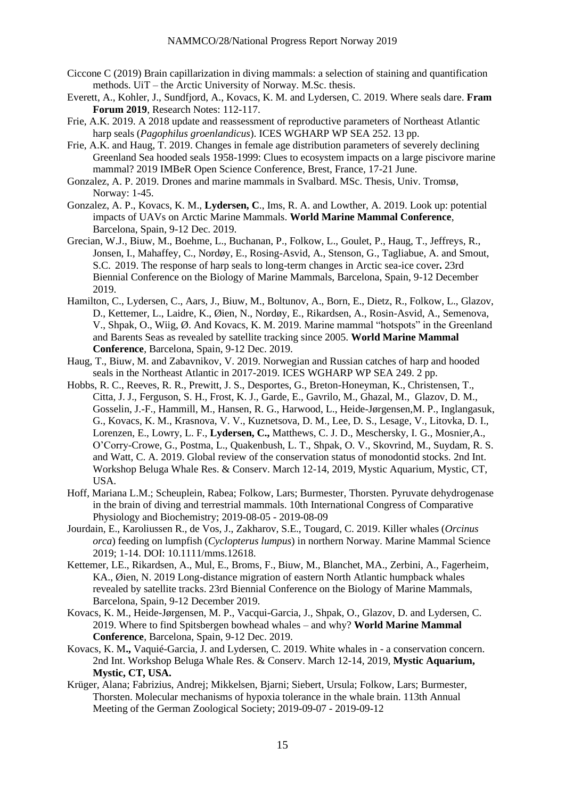- Ciccone C (2019) Brain capillarization in diving mammals: a selection of staining and quantification methods. UiT – the Arctic University of Norway. M.Sc. thesis.
- Everett, A., Kohler, J., Sundfjord, A., Kovacs, K. M. and Lydersen, C. 2019. Where seals dare. **Fram Forum 2019**, Research Notes: 112-117.
- Frie, A.K. 2019. A 2018 update and reassessment of reproductive parameters of Northeast Atlantic harp seals (*Pagophilus groenlandicus*). ICES WGHARP WP SEA 252. 13 pp.
- Frie, A.K. and Haug, T. 2019. Changes in female age distribution parameters of severely declining Greenland Sea hooded seals 1958-1999: Clues to ecosystem impacts on a large piscivore marine mammal? 2019 IMBeR Open Science Conference, Brest, France, 17-21 June.
- Gonzalez, A. P. 2019. Drones and marine mammals in Svalbard. MSc. Thesis, Univ. Tromsø, Norway: 1-45.
- Gonzalez, A. P., Kovacs, K. M., **Lydersen, C**., Ims, R. A. and Lowther, A. 2019. Look up: potential impacts of UAVs on Arctic Marine Mammals. **World Marine Mammal Conference**, Barcelona, Spain, 9-12 Dec. 2019.
- Grecian, W.J., Biuw, M., Boehme, L., Buchanan, P., Folkow, L., Goulet, P., Haug, T., Jeffreys, R., Jonsen, I., Mahaffey, C., Nordøy, E., Rosing-Asvid, A., Stenson, G., Tagliabue, A. and Smout, S.C. 2019. The response of harp seals to long-term changes in Arctic sea-ice cover**.** 23rd Biennial Conference on the Biology of Marine Mammals, Barcelona, Spain, 9-12 December 2019.
- Hamilton, C., Lydersen, C., Aars, J., Biuw, M., Boltunov, A., Born, E., Dietz, R., Folkow, L., Glazov, D., Kettemer, L., Laidre, K., Øien, N., Nordøy, E., Rikardsen, A., Rosin-Asvid, A., Semenova, V., Shpak, O., Wiig, Ø. And Kovacs, K. M. 2019. Marine mammal "hotspots" in the Greenland and Barents Seas as revealed by satellite tracking since 2005. **World Marine Mammal Conference**, Barcelona, Spain, 9-12 Dec. 2019.
- Haug, T., Biuw, M. and Zabavnikov, V. 2019. Norwegian and Russian catches of harp and hooded seals in the Northeast Atlantic in 2017-2019. ICES WGHARP WP SEA 249. 2 pp.
- Hobbs, R. C., Reeves, R. R., Prewitt, J. S., Desportes, G., Breton-Honeyman, K., Christensen, T., Citta, J. J., Ferguson, S. H., Frost, K. J., Garde, E., Gavrilo, M., Ghazal, M., Glazov, D. M., Gosselin, J.-F., Hammill, M., Hansen, R. G., Harwood, L., Heide-Jørgensen,M. P., Inglangasuk, G., Kovacs, K. M., Krasnova, V. V., Kuznetsova, D. M., Lee, D. S., Lesage, V., Litovka, D. I., Lorenzen, E., Lowry, L. F., **Lydersen, C.,** Matthews, C. J. D., Meschersky, I. G., Mosnier,A., O'Corry-Crowe, G., Postma, L., Quakenbush, L. T., Shpak, O. V., Skovrind, M., Suydam, R. S. and Watt, C. A. 2019. Global review of the conservation status of monodontid stocks. [2nd Int.](https://www.iaaam.org/events/2018/9/11/2nd-international-workshop-on-beluga-whale-research-and-conservation-march-12-14-2019)  [Workshop Beluga Whale Res. & Conserv. March 12-14, 2019,](https://www.iaaam.org/events/2018/9/11/2nd-international-workshop-on-beluga-whale-research-and-conservation-march-12-14-2019) Mystic Aquarium, Mystic, CT, USA.
- Hoff, Mariana L.M.; Scheuplein, Rabea; Folkow, Lars; Burmester, Thorsten. Pyruvate dehydrogenase in the brain of diving and terrestrial mammals. 10th International Congress of Comparative Physiology and Biochemistry; 2019-08-05 - 2019-08-09
- Jourdain, E., Karoliussen R., de Vos, J., Zakharov, S.E., Tougard, C. 2019. Killer whales (*Orcinus orca*) feeding on lumpfish (*Cyclopterus lumpus*) in northern Norway. Marine Mammal Science 2019; 1-14. DOI: 10.1111/mms.12618.
- Kettemer, LE., Rikardsen, A., Mul, E., Broms, F., Biuw, M., Blanchet, MA., Zerbini, A., Fagerheim, KA., Øien, N. 2019 Long-distance migration of eastern North Atlantic humpback whales revealed by satellite tracks. 23rd Biennial Conference on the Biology of Marine Mammals, Barcelona, Spain, 9-12 December 2019.
- Kovacs, K. M., Heide-Jørgensen, M. P., Vacqui-Garcia, J., Shpak, O., Glazov, D. and Lydersen, C. 2019. Where to find Spitsbergen bowhead whales – and why? **World Marine Mammal Conference**, Barcelona, Spain, 9-12 Dec. 2019.
- Kovacs, K. M**.,** Vaquié-Garcia, J. and Lydersen, C. 2019. White whales in a conservation concern. [2nd Int. Workshop Beluga Whale Res. & Conserv. March](https://www.iaaam.org/events/2018/9/11/2nd-international-workshop-on-beluga-whale-research-and-conservation-march-12-14-2019) 12-14, 2019, **Mystic Aquarium, Mystic, CT, USA.**
- Krüger, Alana; Fabrizius, Andrej; Mikkelsen, Bjarni; Siebert, Ursula; Folkow, Lars; Burmester, Thorsten. Molecular mechanisms of hypoxia tolerance in the whale brain. 113th Annual Meeting of the German Zoological Society; 2019-09-07 - 2019-09-12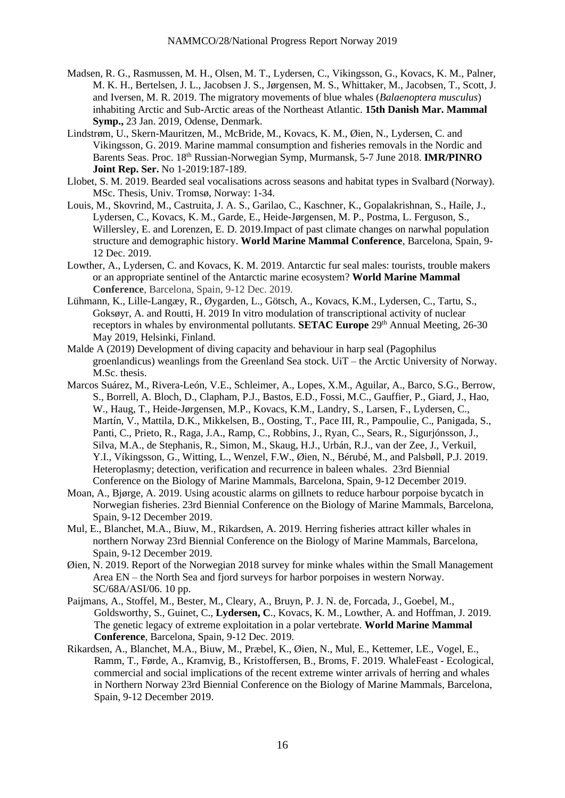- Madsen, R. G., Rasmussen, M. H., Olsen, M. T., Lydersen, C., Vikingsson, G., Kovacs, K. M., Palner, M. K. H., Bertelsen, J. L., Jacobsen J. S., Jørgensen, M. S., Whittaker, M., Jacobsen, T., Scott, J. and Iversen, M. R. 2019. The migratory movements of blue whales (*Balaenoptera musculus*) inhabiting Arctic and Sub-Arctic areas of the Northeast Atlantic. **15th Danish Mar. Mammal Symp.,** 23 Jan. 2019, Odense, Denmark.
- Lindstrøm, U., Skern-Mauritzen, M., McBride, M., Kovacs, K. M., Øien, N., Lydersen, C. and Vikingsson, G. 2019. Marine mammal consumption and fisheries removals in the Nordic and Barents Seas. Proc. 18th Russian-Norwegian Symp, Murmansk, 5-7 June 2018. **IMR/PINRO Joint Rep. Ser.** No 1-2019:187-189.
- Llobet, S. M. 2019. Bearded seal vocalisations across seasons and habitat types in Svalbard (Norway). MSc. Thesis, Univ. Tromsø, Norway: 1-34.
- Louis, M., Skovrind, M., Castruita, J. A. S., Garilao, C., Kaschner, K., Gopalakrishnan, S., Haile, J., Lydersen, C., Kovacs, K. M., Garde, E., Heide-Jørgensen, M. P., Postma, L. Ferguson, S., Willersley, E. and Lorenzen, E. D. 2019.Impact of past climate changes on narwhal population structure and demographic history. **World Marine Mammal Conference**, Barcelona, Spain, 9- 12 Dec. 2019.
- Lowther, A., Lydersen, C. and Kovacs, K. M. 2019. Antarctic fur seal males: tourists, trouble makers or an appropriate sentinel of the Antarctic marine ecosystem? **World Marine Mammal Conference**, Barcelona, Spain, 9-12 Dec. 2019.
- Lühmann, K., Lille-Langæy, R., Øygarden, L., Götsch, A., Kovacs, K.M., Lydersen, C., Tartu, S., Goksøyr, A. and Routti, H. 2019 In vitro modulation of transcriptional activity of nuclear receptors in whales by environmental pollutants. **SETAC Europe** 29<sup>th</sup> Annual Meeting, 26-30 May 2019, Helsinki, Finland.
- Malde A (2019) Development of diving capacity and behaviour in harp seal (Pagophilus groenlandicus) weanlings from the Greenland Sea stock. UiT – the Arctic University of Norway. M.Sc. thesis.
- Marcos Suárez, M., Rivera-León, V.E., Schleimer, A., Lopes, X.M., Aguilar, A., Barco, S.G., Berrow, S., Borrell, A. Bloch, D., Clapham, P.J., Bastos, E.D., Fossi, M.C., Gauffier, P., Giard, J., Hao, W., Haug, T., Heide-Jørgensen, M.P., Kovacs, K.M., Landry, S., Larsen, F., Lydersen, C., Martín, V., Mattila, D.K., Mikkelsen, B., Oosting, T., Pace III, R., Pampoulie, C., Panigada, S., Panti, C., Prieto, R., Raga, J.A., Ramp, C., Robbins, J., Ryan, C., Sears, R., Sigurjónsson, J., Silva, M.A., de Stephanis, R., Simon, M., Skaug, H.J., Urbán, R.J., van der Zee, J., Verkuil, Y.I., Víkingsson, G., Witting, L., Wenzel, F.W., Øien, N., Bérubé, M., and Palsbøll, P.J. 2019. Heteroplasmy; detection, verification and recurrence in baleen whales. 23rd Biennial Conference on the Biology of Marine Mammals, Barcelona, Spain, 9-12 December 2019.
- Moan, A., Bjørge, A. 2019. Using acoustic alarms on gillnets to reduce harbour porpoise bycatch in Norwegian fisheries. 23rd Biennial Conference on the Biology of Marine Mammals, Barcelona, Spain, 9-12 December 2019.
- Mul, E., Blanchet, M.A., Biuw, M., Rikardsen, A. 2019. Herring fisheries attract killer whales in northern Norway 23rd Biennial Conference on the Biology of Marine Mammals, Barcelona, Spain, 9-12 December 2019.
- Øien, N. 2019. Report of the Norwegian 2018 survey for minke whales within the Small Management Area EN – the North Sea and fjord surveys for harbor porpoises in western Norway. SC/68A/ASI/06. 10 pp.
- Paijmans, A., Stoffel, M., Bester, M., Cleary, A., Bruyn, P. J. N. de, Forcada, J., Goebel, M., Goldsworthy, S., Guinet, C., **Lydersen, C**., Kovacs, K. M., Lowther, A. and Hoffman, J. 2019. The genetic legacy of extreme exploitation in a polar vertebrate. **World Marine Mammal Conference**, Barcelona, Spain, 9-12 Dec. 2019.
- Rikardsen, A., Blanchet, M.A., Biuw, M., Præbel, K., Øien, N., Mul, E., Kettemer, LE., Vogel, E., Ramm, T., Førde, A., Kramvig, B., Kristoffersen, B., Broms, F. 2019. WhaleFeast - Ecological, commercial and social implications of the recent extreme winter arrivals of herring and whales in Northern Norway 23rd Biennial Conference on the Biology of Marine Mammals, Barcelona, Spain, 9-12 December 2019.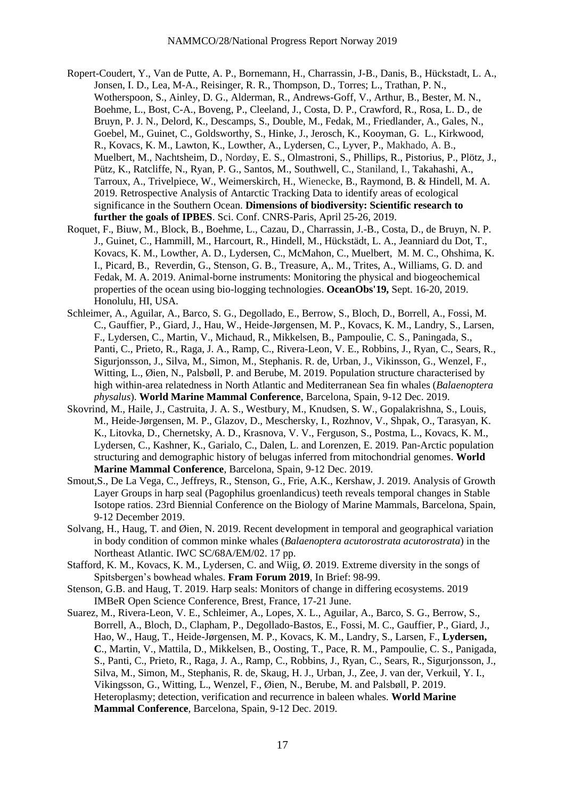- Ropert-Coudert, Y., Van de Putte, A. P., Bornemann, H., Charrassin, J-B., Danis, B., Hückstadt, L. A., Jonsen, I. D., Lea, M-A., Reisinger, R. R., Thompson, D., Torres; L., Trathan, P. N., Wotherspoon, S., Ainley, D. G., Alderman, R., Andrews-Goff, V., Arthur, B., Bester, M. N., Boehme, L., Bost, C-A., Boveng, P., Cleeland, J., Costa, D. P., Crawford, R., Rosa, L. D., de Bruyn, P. J. N., Delord, K., Descamps, S., Double, M., Fedak, M., Friedlander, A., Gales, N., Goebel, M., Guinet, C., Goldsworthy, S., Hinke, J., Jerosch, K., Kooyman, G. L., Kirkwood, R., Kovacs, K. M., Lawton, K., Lowther, A., Lydersen, C., Lyver, P., Makhado, A. B., Muelbert, M., Nachtsheim, D., Nordøy, E. S., Olmastroni, S., Phillips, R., Pistorius, P., Plötz, J., Pütz, K., Ratcliffe, N., Ryan, P. G., Santos, M., Southwell, C., Staniland, I., Takahashi, A., Tarroux, A., Trivelpiece, W., Weimerskirch, H., Wienecke, B., Raymond, B. & Hindell, M. A. 2019. Retrospective Analysis of Antarctic Tracking Data to identify areas of ecological significance in the Southern Ocean. **Dimensions of biodiversity: Scientific research to further the goals of IPBES**. Sci. Conf. CNRS-Paris, April 25-26, 2019.
- Roquet, F., Biuw, M., Block, B., Boehme, L., Cazau, D., Charrassin, J.-B., Costa, D., de Bruyn, N. P. J., Guinet, C., Hammill, M., Harcourt, R., Hindell, M., Hückstädt, L. A., Jeanniard du Dot, T., Kovacs, K. M., Lowther, A. D., Lydersen, C., McMahon, C., Muelbert, M. M. C., Ohshima, K. I., Picard, B., Reverdin, G., Stenson, G. B., Treasure, A,. M., Trites, A., Williams, G. D. and Fedak, M. A. 2019. Animal-borne instruments: Monitoring the physical and biogeochemical properties of the ocean using bio-logging technologies. **OceanObs'19,** Sept. 16-20, 2019. Honolulu, HI, USA.
- Schleimer, A., Aguilar, A., Barco, S. G., Degollado, E., Berrow, S., Bloch, D., Borrell, A., Fossi, M. C., Gauffier, P., Giard, J., Hau, W., Heide-Jørgensen, M. P., Kovacs, K. M., Landry, S., Larsen, F., Lydersen, C., Martin, V., Michaud, R., Mikkelsen, B., Pampoulie, C. S., Paningada, S., Panti, C., Prieto, R., Raga, J. A., Ramp, C., Rivera-Leon, V. E., Robbins, J., Ryan, C., Sears, R., Sigurjonsson, J., Silva, M., Simon, M., Stephanis. R. de, Urban, J., Vikinsson, G., Wenzel, F., Witting, L., Øien, N., Palsbøll, P. and Berube, M. 2019. Population structure characterised by high within-area relatedness in North Atlantic and Mediterranean Sea fin whales (*Balaenoptera physalus*). **World Marine Mammal Conference**, Barcelona, Spain, 9-12 Dec. 2019.
- Skovrind, M., Haile, J., Castruita, J. A. S., Westbury, M., Knudsen, S. W., Gopalakrishna, S., Louis, M., Heide-Jørgensen, M. P., Glazov, D., Meschersky, I., Rozhnov, V., Shpak, O., Tarasyan, K. K., Litovka, D., Chernetsky, A. D., Krasnova, V. V., Ferguson, S., Postma, L., Kovacs, K. M., Lydersen, C., Kashner, K., Garialo, C., Dalen, L. and Lorenzen, E. 2019. Pan-Arctic population structuring and demographic history of belugas inferred from mitochondrial genomes. **World Marine Mammal Conference**, Barcelona, Spain, 9-12 Dec. 2019.
- Smout,S., De La Vega, C., Jeffreys, R., Stenson, G., Frie, A.K., Kershaw, J. 2019. Analysis of Growth Layer Groups in harp seal (Pagophilus groenlandicus) teeth reveals temporal changes in Stable Isotope ratios. 23rd Biennial Conference on the Biology of Marine Mammals, Barcelona, Spain, 9-12 December 2019.
- Solvang, H., Haug, T. and Øien, N. 2019. Recent development in temporal and geographical variation in body condition of common minke whales (*Balaenoptera acutorostrata acutorostrata*) in the Northeast Atlantic. IWC SC/68A/EM/02. 17 pp.
- Stafford, K. M., Kovacs, K. M., Lydersen, C. and Wiig, Ø. 2019. Extreme diversity in the songs of Spitsbergen's bowhead whales. **Fram Forum 2019**, In Brief: 98-99.
- Stenson, G.B. and Haug, T. 2019. Harp seals: Monitors of change in differing ecosystems. 2019 IMBeR Open Science Conference, Brest, France, 17-21 June.
- Suarez, M., Rivera-Leon, V. E., Schleimer, A., Lopes, X. L., Aguilar, A., Barco, S. G., Berrow, S., Borrell, A., Bloch, D., Clapham, P., Degollado-Bastos, E., Fossi, M. C., Gauffier, P., Giard, J., Hao, W., Haug, T., Heide-Jørgensen, M. P., Kovacs, K. M., Landry, S., Larsen, F., **Lydersen, C**., Martin, V., Mattila, D., Mikkelsen, B., Oosting, T., Pace, R. M., Pampoulie, C. S., Panigada, S., Panti, C., Prieto, R., Raga, J. A., Ramp, C., Robbins, J., Ryan, C., Sears, R., Sigurjonsson, J., Silva, M., Simon, M., Stephanis, R. de, Skaug, H. J., Urban, J., Zee, J. van der, Verkuil, Y. I., Vikingsson, G., Witting, L., Wenzel, F., Øien, N., Berube, M. and Palsbøll, P. 2019. Heteroplasmy; detection, verification and recurrence in baleen whales. **World Marine Mammal Conference**, Barcelona, Spain, 9-12 Dec. 2019.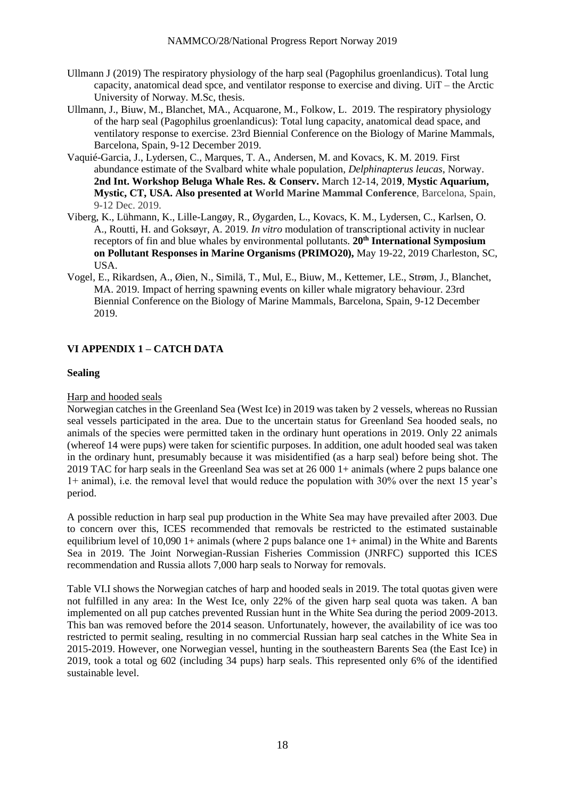- Ullmann J (2019) The respiratory physiology of the harp seal (Pagophilus groenlandicus). Total lung capacity, anatomical dead spce, and ventilator response to exercise and diving. UiT – the Arctic University of Norway. M.Sc, thesis.
- Ullmann, J., Biuw, M., Blanchet, MA., Acquarone, M., Folkow, L. 2019. The respiratory physiology of the harp seal (Pagophilus groenlandicus): Total lung capacity, anatomical dead space, and ventilatory response to exercise. 23rd Biennial Conference on the Biology of Marine Mammals, Barcelona, Spain, 9-12 December 2019.
- Vaquié-Garcia, J., Lydersen, C., Marques, T. A., Andersen, M. and Kovacs, K. M. 2019. First abundance estimate of the Svalbard white whale population, *Delphinapterus leucas*, Norway. **[2nd Int. Workshop Beluga Whale Res. & Conserv.](https://www.iaaam.org/events/2018/9/11/2nd-international-workshop-on-beluga-whale-research-and-conservation-march-12-14-2019)** March 12-14, 201**9**, **Mystic Aquarium, Mystic, CT, USA. Also presented at World Marine Mammal Conference**, Barcelona, Spain, 9-12 Dec. 2019.
- Viberg, K., Lühmann, K., Lille-Langøy, R., Øygarden, L., Kovacs, K. M., Lydersen, C., Karlsen, O. A., Routti, H. and Goksøyr, A. 2019. *In vitro* modulation of transcriptional activity in nuclear receptors of fin and blue whales by environmental pollutants. **20th International Symposium on Pollutant Responses in Marine Organisms (PRIMO20),** May 19-22, 2019 Charleston, SC, USA.
- Vogel, E., Rikardsen, A., Øien, N., Similä, T., Mul, E., Biuw, M., Kettemer, LE., Strøm, J., Blanchet, MA. 2019. Impact of herring spawning events on killer whale migratory behaviour. 23rd Biennial Conference on the Biology of Marine Mammals, Barcelona, Spain, 9-12 December 2019.

# **VI APPENDIX 1 – CATCH DATA**

### **Sealing**

### Harp and hooded seals

Norwegian catches in the Greenland Sea (West Ice) in 2019 was taken by 2 vessels, whereas no Russian seal vessels participated in the area. Due to the uncertain status for Greenland Sea hooded seals, no animals of the species were permitted taken in the ordinary hunt operations in 2019. Only 22 animals (whereof 14 were pups) were taken for scientific purposes. In addition, one adult hooded seal was taken in the ordinary hunt, presumably because it was misidentified (as a harp seal) before being shot. The 2019 TAC for harp seals in the Greenland Sea was set at 26 000 1+ animals (where 2 pups balance one 1+ animal), i.e. the removal level that would reduce the population with 30% over the next 15 year's period.

A possible reduction in harp seal pup production in the White Sea may have prevailed after 2003. Due to concern over this, ICES recommended that removals be restricted to the estimated sustainable equilibrium level of 10,090 1+ animals (where 2 pups balance one 1+ animal) in the White and Barents Sea in 2019. The Joint Norwegian-Russian Fisheries Commission (JNRFC) supported this ICES recommendation and Russia allots 7,000 harp seals to Norway for removals.

Table VI.I shows the Norwegian catches of harp and hooded seals in 2019. The total quotas given were not fulfilled in any area: In the West Ice, only 22% of the given harp seal quota was taken. A ban implemented on all pup catches prevented Russian hunt in the White Sea during the period 2009-2013. This ban was removed before the 2014 season. Unfortunately, however, the availability of ice was too restricted to permit sealing, resulting in no commercial Russian harp seal catches in the White Sea in 2015-2019. However, one Norwegian vessel, hunting in the southeastern Barents Sea (the East Ice) in 2019, took a total og 602 (including 34 pups) harp seals. This represented only 6% of the identified sustainable level.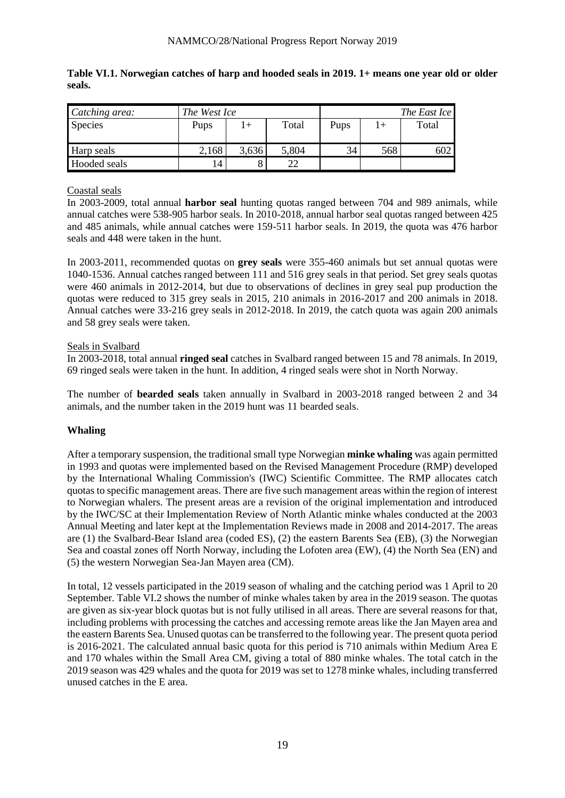| Catching area: | The West Ice |       |       | The East Ice |     |       |  |
|----------------|--------------|-------|-------|--------------|-----|-------|--|
| <b>Species</b> | Pups         | $+$   | Total | Pups         | $+$ | Total |  |
|                |              |       |       |              |     |       |  |
| Harp seals     | 2,168        | 3,636 | 5,804 | 34           | 568 | 602   |  |
| Hooded seals   | 14           |       | າາ    |              |     |       |  |

**Table VI.1. Norwegian catches of harp and hooded seals in 2019. 1+ means one year old or older seals.**

## Coastal seals

In 2003-2009, total annual **harbor seal** hunting quotas ranged between 704 and 989 animals, while annual catches were 538-905 harbor seals. In 2010-2018, annual harbor seal quotas ranged between 425 and 485 animals, while annual catches were 159-511 harbor seals. In 2019, the quota was 476 harbor seals and 448 were taken in the hunt.

In 2003-2011, recommended quotas on **grey seals** were 355-460 animals but set annual quotas were 1040-1536. Annual catches ranged between 111 and 516 grey seals in that period. Set grey seals quotas were 460 animals in 2012-2014, but due to observations of declines in grey seal pup production the quotas were reduced to 315 grey seals in 2015, 210 animals in 2016-2017 and 200 animals in 2018. Annual catches were 33-216 grey seals in 2012-2018. In 2019, the catch quota was again 200 animals and 58 grey seals were taken.

### Seals in Svalbard

In 2003-2018, total annual **ringed seal** catches in Svalbard ranged between 15 and 78 animals. In 2019, 69 ringed seals were taken in the hunt. In addition, 4 ringed seals were shot in North Norway.

The number of **bearded seals** taken annually in Svalbard in 2003-2018 ranged between 2 and 34 animals, and the number taken in the 2019 hunt was 11 bearded seals.

# **Whaling**

After a temporary suspension, the traditional small type Norwegian **minke whaling** was again permitted in 1993 and quotas were implemented based on the Revised Management Procedure (RMP) developed by the International Whaling Commission's (IWC) Scientific Committee. The RMP allocates catch quotas to specific management areas. There are five such management areas within the region of interest to Norwegian whalers. The present areas are a revision of the original implementation and introduced by the IWC/SC at their Implementation Review of North Atlantic minke whales conducted at the 2003 Annual Meeting and later kept at the Implementation Reviews made in 2008 and 2014-2017. The areas are (1) the Svalbard-Bear Island area (coded ES), (2) the eastern Barents Sea (EB), (3) the Norwegian Sea and coastal zones off North Norway, including the Lofoten area (EW), (4) the North Sea (EN) and (5) the western Norwegian Sea-Jan Mayen area (CM).

In total, 12 vessels participated in the 2019 season of whaling and the catching period was 1 April to 20 September. Table VI.2 shows the number of minke whales taken by area in the 2019 season. The quotas are given as six-year block quotas but is not fully utilised in all areas. There are several reasons for that, including problems with processing the catches and accessing remote areas like the Jan Mayen area and the eastern Barents Sea. Unused quotas can be transferred to the following year. The present quota period is 2016-2021. The calculated annual basic quota for this period is 710 animals within Medium Area E and 170 whales within the Small Area CM, giving a total of 880 minke whales. The total catch in the 2019 season was 429 whales and the quota for 2019 was set to 1278 minke whales, including transferred unused catches in the E area.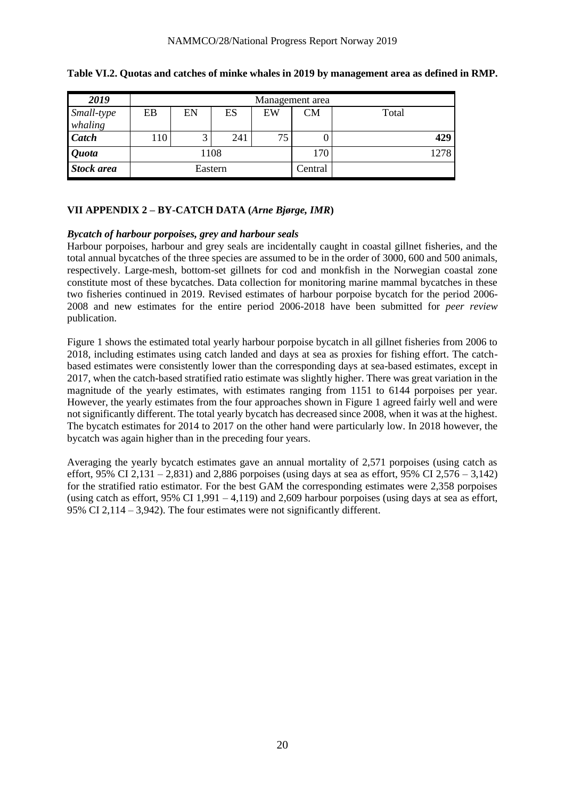| 2019              | Management area |                 |     |    |         |       |  |  |
|-------------------|-----------------|-----------------|-----|----|---------|-------|--|--|
| Small-type        | EB              | EN              | ES  | EW | CМ      | Total |  |  |
| whaling           |                 |                 |     |    |         |       |  |  |
| <b>Catch</b>      | 110             | $\bigcap$<br>ر_ | 241 | 75 | ν       | 429   |  |  |
| <b>Quota</b>      | 1108            |                 |     |    | 170     | 1278  |  |  |
| <b>Stock area</b> | Eastern         |                 |     |    | Central |       |  |  |

### **Table VI.2. Quotas and catches of minke whales in 2019 by management area as defined in RMP.**

# **VII APPENDIX 2 – BY-CATCH DATA (***Arne Bjørge, IMR***)**

### *Bycatch of harbour porpoises, grey and harbour seals*

Harbour porpoises, harbour and grey seals are incidentally caught in coastal gillnet fisheries, and the total annual bycatches of the three species are assumed to be in the order of 3000, 600 and 500 animals, respectively. Large-mesh, bottom-set gillnets for cod and monkfish in the Norwegian coastal zone constitute most of these bycatches. Data collection for monitoring marine mammal bycatches in these two fisheries continued in 2019. Revised estimates of harbour porpoise bycatch for the period 2006- 2008 and new estimates for the entire period 2006-2018 have been submitted for *peer review*  publication.

Figure 1 shows the estimated total yearly harbour porpoise bycatch in all gillnet fisheries from 2006 to 2018, including estimates using catch landed and days at sea as proxies for fishing effort. The catchbased estimates were consistently lower than the corresponding days at sea-based estimates, except in 2017, when the catch-based stratified ratio estimate was slightly higher. There was great variation in the magnitude of the yearly estimates, with estimates ranging from 1151 to 6144 porpoises per year. However, the yearly estimates from the four approaches shown in Figure 1 agreed fairly well and were not significantly different. The total yearly bycatch has decreased since 2008, when it was at the highest. The bycatch estimates for 2014 to 2017 on the other hand were particularly low. In 2018 however, the bycatch was again higher than in the preceding four years.

Averaging the yearly bycatch estimates gave an annual mortality of 2,571 porpoises (using catch as effort, 95% CI 2,131 – 2,831) and 2,886 porpoises (using days at sea as effort, 95% CI 2,576 – 3,142) for the stratified ratio estimator. For the best GAM the corresponding estimates were 2,358 porpoises (using catch as effort,  $95\%$  CI 1,991 – 4,119) and 2,609 harbour porpoises (using days at sea as effort, 95% CI 2,114 – 3,942). The four estimates were not significantly different.